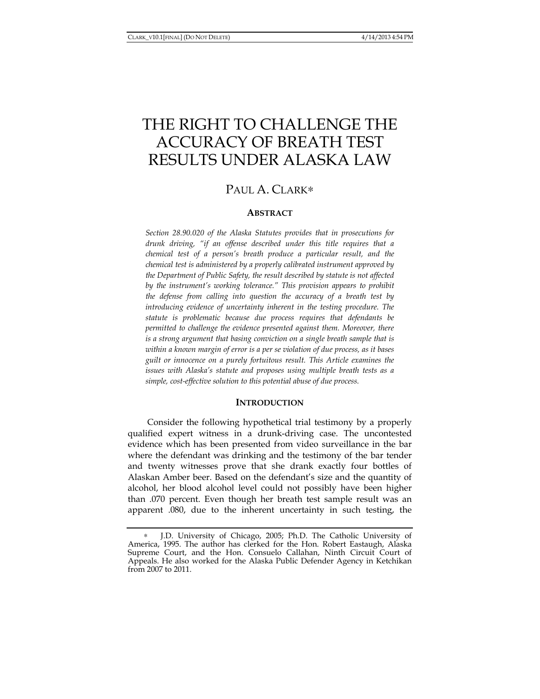# THE RIGHT TO CHALLENGE THE ACCURACY OF BREATH TEST RESULTS UNDER ALASKA LAW

## PAUL A. CLARK\*

## **ABSTRACT**

*Section 28.90.020 of the Alaska Statutes provides that in prosecutions for drunk driving, "if an offense described under this title requires that a chemical test of a person's breath produce a particular result, and the chemical test is administered by a properly calibrated instrument approved by the Department of Public Safety, the result described by statute is not affected by the instrument's working tolerance." This provision appears to prohibit the defense from calling into question the accuracy of a breath test by introducing evidence of uncertainty inherent in the testing procedure. The statute is problematic because due process requires that defendants be permitted to challenge the evidence presented against them. Moreover, there is a strong argument that basing conviction on a single breath sample that is within a known margin of error is a per se violation of due process, as it bases guilt or innocence on a purely fortuitous result. This Article examines the issues with Alaska's statute and proposes using multiple breath tests as a simple, cost-effective solution to this potential abuse of due process.* 

## **INTRODUCTION**

Consider the following hypothetical trial testimony by a properly qualified expert witness in a drunk-driving case. The uncontested evidence which has been presented from video surveillance in the bar where the defendant was drinking and the testimony of the bar tender and twenty witnesses prove that she drank exactly four bottles of Alaskan Amber beer. Based on the defendant's size and the quantity of alcohol, her blood alcohol level could not possibly have been higher than .070 percent. Even though her breath test sample result was an apparent .080, due to the inherent uncertainty in such testing, the

J.D. University of Chicago, 2005; Ph.D. The Catholic University of America, 1995. The author has clerked for the Hon. Robert Eastaugh, Alaska Supreme Court, and the Hon. Consuelo Callahan, Ninth Circuit Court of Appeals. He also worked for the Alaska Public Defender Agency in Ketchikan from 2007 to 2011.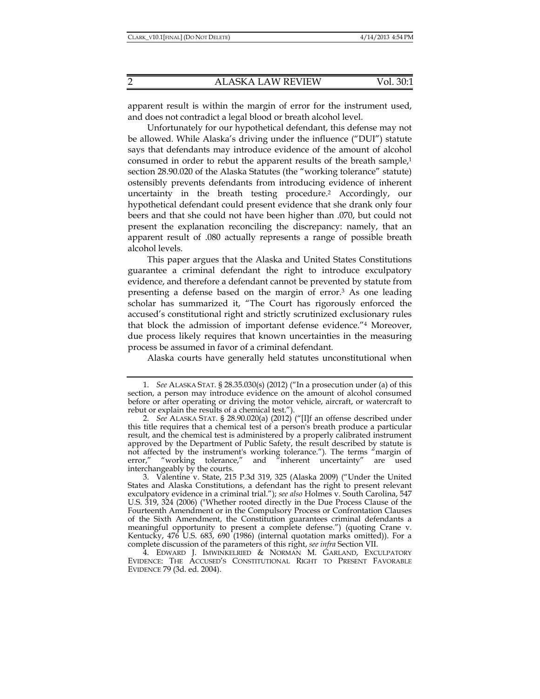apparent result is within the margin of error for the instrument used, and does not contradict a legal blood or breath alcohol level.

Unfortunately for our hypothetical defendant, this defense may not be allowed. While Alaska's driving under the influence ("DUI") statute says that defendants may introduce evidence of the amount of alcohol consumed in order to rebut the apparent results of the breath sample, $1$ section 28.90.020 of the Alaska Statutes (the "working tolerance" statute) ostensibly prevents defendants from introducing evidence of inherent uncertainty in the breath testing procedure.2 Accordingly, our hypothetical defendant could present evidence that she drank only four beers and that she could not have been higher than .070, but could not present the explanation reconciling the discrepancy: namely, that an apparent result of .080 actually represents a range of possible breath alcohol levels.

This paper argues that the Alaska and United States Constitutions guarantee a criminal defendant the right to introduce exculpatory evidence, and therefore a defendant cannot be prevented by statute from presenting a defense based on the margin of error.3 As one leading scholar has summarized it, "The Court has rigorously enforced the accused's constitutional right and strictly scrutinized exclusionary rules that block the admission of important defense evidence."4 Moreover, due process likely requires that known uncertainties in the measuring process be assumed in favor of a criminal defendant.

Alaska courts have generally held statutes unconstitutional when

 <sup>1.</sup> *See* ALASKA STAT. § 28.35.030(s) (2012) ("In a prosecution under (a) of this section, a person may introduce evidence on the amount of alcohol consumed before or after operating or driving the motor vehicle, aircraft, or watercraft to rebut or explain the results of a chemical test.").

 <sup>2.</sup> *See* ALASKA STAT. § 28.90.020(a) (2012) ("[I]f an offense described under this title requires that a chemical test of a person's breath produce a particular result, and the chemical test is administered by a properly calibrated instrument approved by the Department of Public Safety, the result described by statute is not affected by the instrument's working tolerance."). The terms "margin of error," "working tolerance," and "inherent uncertainty" are used error," "working tolerance," and "inherent uncertainty" are used interchangeably by the courts.

 <sup>3.</sup> Valentine v. State, 215 P.3d 319, 325 (Alaska 2009) ("Under the United States and Alaska Constitutions, a defendant has the right to present relevant exculpatory evidence in a criminal trial."); *see also* Holmes v. South Carolina, 547 U.S. 319, 324 (2006) ("Whether rooted directly in the Due Process Clause of the Fourteenth Amendment or in the Compulsory Process or Confrontation Clauses of the Sixth Amendment, the Constitution guarantees criminal defendants a meaningful opportunity to present a complete defense.") (quoting Crane v. Kentucky, 476 U.S. 683, 690 (1986) (internal quotation marks omitted)). For a complete discussion of the parameters of this right, *see infra* Section VII.

 <sup>4.</sup> EDWARD J. IMWINKELRIED & NORMAN M. GARLAND, EXCULPATORY EVIDENCE: THE ACCUSED'S CONSTITUTIONAL RIGHT TO PRESENT FAVORABLE EVIDENCE 79 (3d. ed. 2004).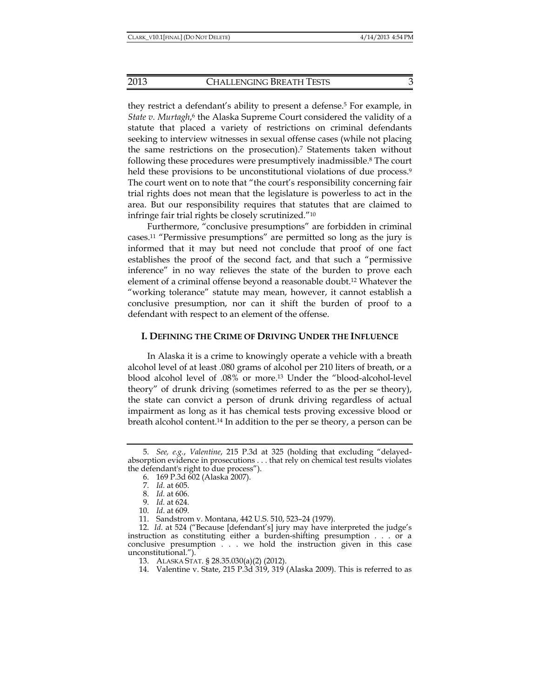they restrict a defendant's ability to present a defense.<sup>5</sup> For example, in State v. Murtagh,<sup>6</sup> the Alaska Supreme Court considered the validity of a statute that placed a variety of restrictions on criminal defendants seeking to interview witnesses in sexual offense cases (while not placing the same restrictions on the prosecution).7 Statements taken without following these procedures were presumptively inadmissible.8 The court held these provisions to be unconstitutional violations of due process.<sup>9</sup> The court went on to note that "the court's responsibility concerning fair trial rights does not mean that the legislature is powerless to act in the area. But our responsibility requires that statutes that are claimed to infringe fair trial rights be closely scrutinized."10

Furthermore, "conclusive presumptions" are forbidden in criminal cases.11 "Permissive presumptions" are permitted so long as the jury is informed that it may but need not conclude that proof of one fact establishes the proof of the second fact, and that such a "permissive inference" in no way relieves the state of the burden to prove each element of a criminal offense beyond a reasonable doubt.12 Whatever the "working tolerance" statute may mean, however, it cannot establish a conclusive presumption, nor can it shift the burden of proof to a defendant with respect to an element of the offense.

## **I. DEFINING THE CRIME OF DRIVING UNDER THE INFLUENCE**

In Alaska it is a crime to knowingly operate a vehicle with a breath alcohol level of at least .080 grams of alcohol per 210 liters of breath, or a blood alcohol level of .08% or more.13 Under the "blood-alcohol-level theory" of drunk driving (sometimes referred to as the per se theory), the state can convict a person of drunk driving regardless of actual impairment as long as it has chemical tests proving excessive blood or breath alcohol content.14 In addition to the per se theory, a person can be

 <sup>5.</sup> *See, e.g.*, *Valentine*, 215 P.3d at 325 (holding that excluding "delayedabsorption evidence in prosecutions . . . that rely on chemical test results violates the defendant's right to due process").

 <sup>6. 169</sup> P.3d 602 (Alaska 2007).

 <sup>7.</sup> *Id.* at 605.

 <sup>8.</sup> *Id.* at 606.

 <sup>9.</sup> *Id.* at 624.

 <sup>10.</sup> *Id*. at 609.

 <sup>11.</sup> Sandstrom v. Montana, 442 U.S. 510, 523–24 (1979).

 <sup>12.</sup> *Id*. at 524 ("Because [defendant's] jury may have interpreted the judge's instruction as constituting either a burden-shifting presumption . . . or a conclusive presumption . . . we hold the instruction given in this case unconstitutional.").

 <sup>13.</sup> ALASKA STAT. § 28.35.030(a)(2) (2012).

 <sup>14.</sup> Valentine v. State, 215 P.3d 319, 319 (Alaska 2009). This is referred to as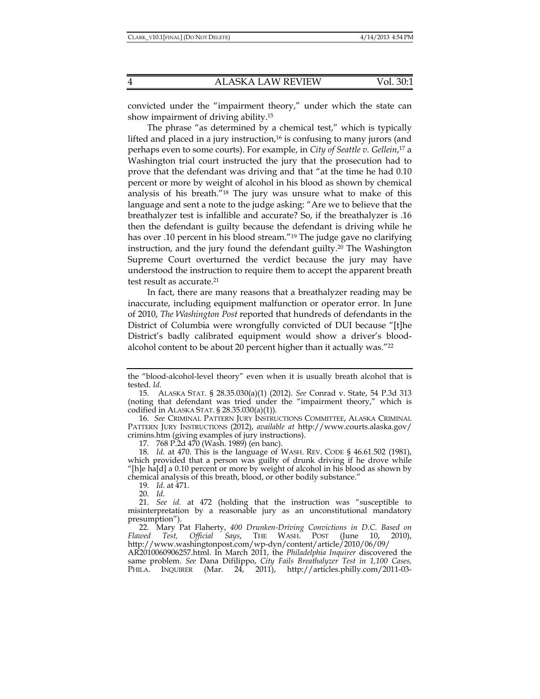convicted under the "impairment theory," under which the state can show impairment of driving ability.15

The phrase "as determined by a chemical test," which is typically lifted and placed in a jury instruction, $16$  is confusing to many jurors (and perhaps even to some courts). For example, in *City of Seattle v. Gellein*, 17 a Washington trial court instructed the jury that the prosecution had to prove that the defendant was driving and that "at the time he had 0.10 percent or more by weight of alcohol in his blood as shown by chemical analysis of his breath."18 The jury was unsure what to make of this language and sent a note to the judge asking: "Are we to believe that the breathalyzer test is infallible and accurate? So, if the breathalyzer is .16 then the defendant is guilty because the defendant is driving while he has over .10 percent in his blood stream."19 The judge gave no clarifying instruction, and the jury found the defendant guilty.20 The Washington Supreme Court overturned the verdict because the jury may have understood the instruction to require them to accept the apparent breath test result as accurate.<sup>21</sup>

In fact, there are many reasons that a breathalyzer reading may be inaccurate, including equipment malfunction or operator error. In June of 2010, *The Washington Post* reported that hundreds of defendants in the District of Columbia were wrongfully convicted of DUI because "[t]he District's badly calibrated equipment would show a driver's bloodalcohol content to be about 20 percent higher than it actually was."22

17. 768 P.2d 470 (Wash. 1989) (en banc).

19. *Id.* at 471.

20. *Id*.

the "blood-alcohol-level theory" even when it is usually breath alcohol that is tested. *Id*.

 <sup>15.</sup> ALASKA STAT. § 28.35.030(a)(1) (2012). *See* Conrad v. State, 54 P.3d 313 (noting that defendant was tried under the "impairment theory," which is codified in ALASKA STAT. § 28.35.030(a)(1)).

 <sup>16.</sup> *See* CRIMINAL PATTERN JURY INSTRUCTIONS COMMITTEE, ALASKA CRIMINAL PATTERN JURY INSTRUCTIONS (2012), *available at* http://www.courts.alaska.gov/ crimins.htm (giving examples of jury instructions).

 <sup>18.</sup> *Id.* at 470. This is the language of WASH. REV. CODE § 46.61.502 (1981), which provided that a person was guilty of drunk driving if he drove while "[h]e ha[d] a 0.10 percent or more by weight of alcohol in his blood as shown by chemical analysis of this breath, blood, or other bodily substance."

 <sup>21.</sup> *See id.* at 472 (holding that the instruction was "susceptible to misinterpretation by a reasonable jury as an unconstitutional mandatory presumption").

 <sup>22.</sup> Mary Pat Flaherty, *400 Drunken-Driving Convictions in D.C. Based on Flawed Test, Official Says*, THE WASH. POST (June 10, 2010), http://www.washingtonpost.com/wp-dyn/content/article/2010/06/09/

AR2010060906257.html. In March 2011, the *Philadelphia Inquirer* discovered the same problem. *See* Dana Difilippo, *City Fails Breathalyzer Test in 1,100 Cases,* PHILA. INQUIRER (Mar. 24, 2011), http://articles.philly.com/2011-03-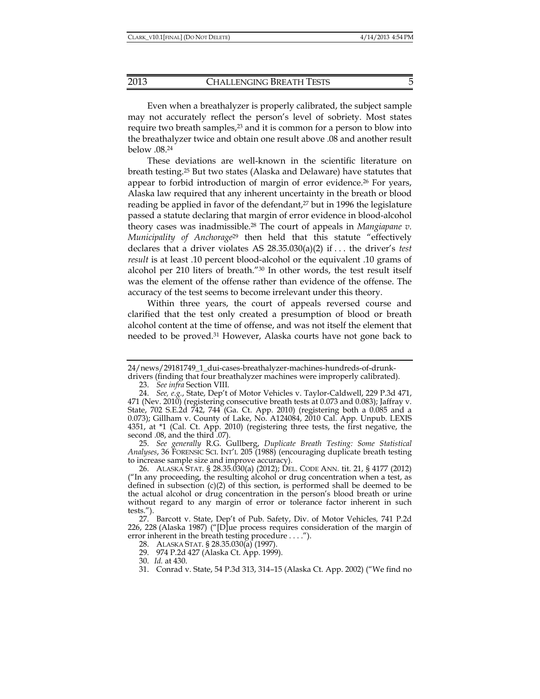Even when a breathalyzer is properly calibrated, the subject sample may not accurately reflect the person's level of sobriety. Most states require two breath samples,<sup>23</sup> and it is common for a person to blow into the breathalyzer twice and obtain one result above .08 and another result below .08.24

These deviations are well-known in the scientific literature on breath testing.25 But two states (Alaska and Delaware) have statutes that appear to forbid introduction of margin of error evidence.26 For years, Alaska law required that any inherent uncertainty in the breath or blood reading be applied in favor of the defendant,<sup>27</sup> but in 1996 the legislature passed a statute declaring that margin of error evidence in blood-alcohol theory cases was inadmissible.28 The court of appeals in *Mangiapane v. Municipality of Anchorage*29 then held that this statute "effectively declares that a driver violates AS 28.35.030(a)(2) if . . . the driver's *test result* is at least .10 percent blood-alcohol or the equivalent .10 grams of alcohol per 210 liters of breath."30 In other words, the test result itself was the element of the offense rather than evidence of the offense. The accuracy of the test seems to become irrelevant under this theory.

Within three years, the court of appeals reversed course and clarified that the test only created a presumption of blood or breath alcohol content at the time of offense, and was not itself the element that needed to be proved.31 However, Alaska courts have not gone back to

 25. *See generally* R.G. Gullberg, *Duplicate Breath Testing: Some Statistical Analyses*, 36 FORENSIC SCI. INT'L 205 (1988) (encouraging duplicate breath testing to increase sample size and improve accuracy).

<sup>24/</sup>news/29181749\_1\_dui-cases-breathalyzer-machines-hundreds-of-drunk-

drivers (finding that four breathalyzer machines were improperly calibrated).

 <sup>23.</sup> *See infra* Section VIII.

 <sup>24.</sup> *See, e.g.*, State, Dep't of Motor Vehicles v. Taylor-Caldwell, 229 P.3d 471, 471 (Nev. 2010) (registering consecutive breath tests at 0.073 and 0.083); Jaffray v. State, 702 S.E.2d 742, 744 (Ga. Ct. App. 2010) (registering both a 0.085 and a 0.073); Gillham v. County of Lake, No. A124084, 2010 Cal. App. Unpub. LEXIS 4351, at \*1 (Cal. Ct. App. 2010) (registering three tests, the first negative, the second .08, and the third .07).

 <sup>26.</sup> ALASKA STAT. § 28.35.030(a) (2012); DEL. CODE ANN. tit. 21, § 4177 (2012) ("In any proceeding, the resulting alcohol or drug concentration when a test, as defined in subsection (c)(2) of this section, is performed shall be deemed to be the actual alcohol or drug concentration in the person's blood breath or urine without regard to any margin of error or tolerance factor inherent in such tests.").

 <sup>27.</sup> Barcott v. State, Dep't of Pub. Safety, Div. of Motor Vehicles*,* 741 P.2d 226, 228 (Alaska 1987) ("[D]ue process requires consideration of the margin of error inherent in the breath testing procedure . . . .").

 <sup>28.</sup> ALASKA STAT. § 28.35.030(a) (1997).

 <sup>29. 974</sup> P.2d 427 (Alaska Ct. App. 1999).

 <sup>30.</sup> *Id.* at 430.

 <sup>31.</sup> Conrad v. State, 54 P.3d 313, 314–15 (Alaska Ct. App. 2002) ("We find no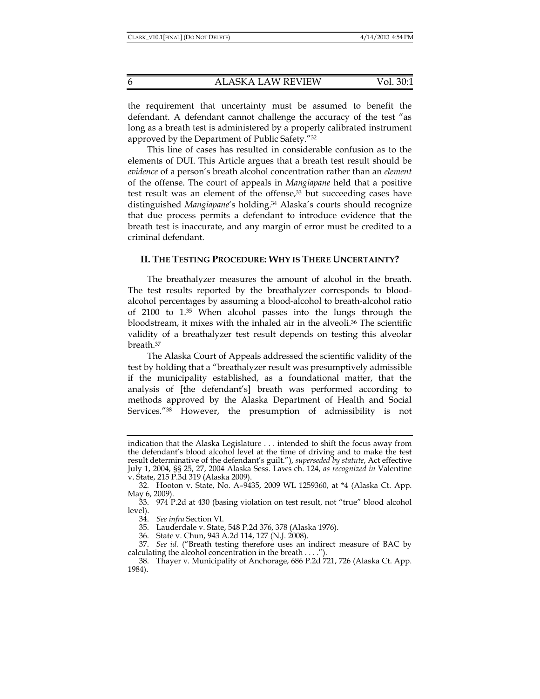the requirement that uncertainty must be assumed to benefit the defendant. A defendant cannot challenge the accuracy of the test "as long as a breath test is administered by a properly calibrated instrument approved by the Department of Public Safety."32

This line of cases has resulted in considerable confusion as to the elements of DUI. This Article argues that a breath test result should be *evidence* of a person's breath alcohol concentration rather than an *element* of the offense. The court of appeals in *Mangiapane* held that a positive test result was an element of the offense,<sup>33</sup> but succeeding cases have distinguished *Mangiapane*'s holding.34 Alaska's courts should recognize that due process permits a defendant to introduce evidence that the breath test is inaccurate, and any margin of error must be credited to a criminal defendant.

## **II. THE TESTING PROCEDURE: WHY IS THERE UNCERTAINTY?**

The breathalyzer measures the amount of alcohol in the breath. The test results reported by the breathalyzer corresponds to bloodalcohol percentages by assuming a blood-alcohol to breath-alcohol ratio of 2100 to 1.35 When alcohol passes into the lungs through the bloodstream, it mixes with the inhaled air in the alveoli.36 The scientific validity of a breathalyzer test result depends on testing this alveolar breath.37

The Alaska Court of Appeals addressed the scientific validity of the test by holding that a "breathalyzer result was presumptively admissible if the municipality established, as a foundational matter, that the analysis of [the defendant's] breath was performed according to methods approved by the Alaska Department of Health and Social Services."38 However, the presumption of admissibility is not

indication that the Alaska Legislature . . . intended to shift the focus away from the defendant's blood alcohol level at the time of driving and to make the test result determinative of the defendant's guilt."), *superseded by statute*, Act effective July 1, 2004, §§ 25, 27, 2004 Alaska Sess. Laws ch. 124, *as recognized in* Valentine v. State, 215 P.3d 319 (Alaska 2009).

 <sup>32.</sup> Hooton v. State, No. A–9435, 2009 WL 1259360, at \*4 (Alaska Ct. App. May 6, 2009).

 <sup>33. 974</sup> P.2d at 430 (basing violation on test result, not "true" blood alcohol level).

 <sup>34.</sup> *See infra* Section VI.

 <sup>35.</sup> Lauderdale v. State, 548 P.2d 376, 378 (Alaska 1976).

 <sup>36.</sup> State v. Chun, 943 A.2d 114, 127 (N.J. 2008).

 <sup>37.</sup> *See id.* ("Breath testing therefore uses an indirect measure of BAC by calculating the alcohol concentration in the breath . . . .").

 <sup>38.</sup> Thayer v. Municipality of Anchorage, 686 P.2d 721, 726 (Alaska Ct. App. 1984).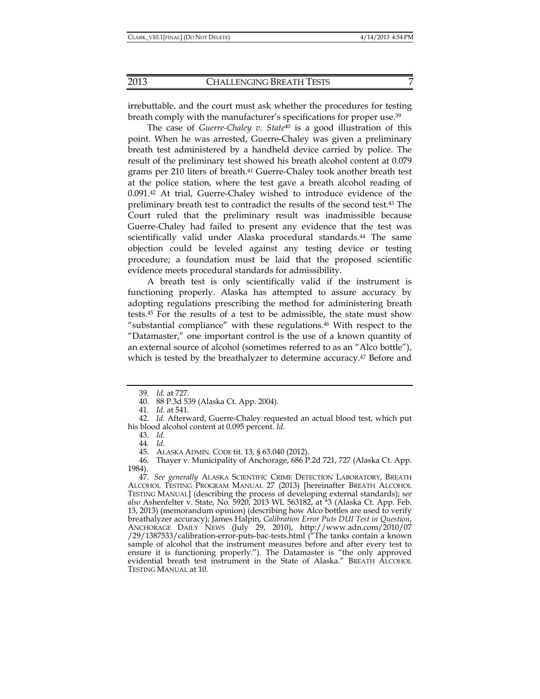irrebuttable, and the court must ask whether the procedures for testing breath comply with the manufacturer's specifications for proper use.<sup>39</sup>

The case of *Guerre-Chaley v. State*40 is a good illustration of this point. When he was arrested, Guerre-Chaley was given a preliminary breath test administered by a handheld device carried by police. The result of the preliminary test showed his breath alcohol content at 0.079 grams per 210 liters of breath.<sup>41</sup> Guerre-Chaley took another breath test at the police station, where the test gave a breath alcohol reading of 0.091.42 At trial, Guerre-Chaley wished to introduce evidence of the preliminary breath test to contradict the results of the second test.43 The Court ruled that the preliminary result was inadmissible because Guerre-Chaley had failed to present any evidence that the test was scientifically valid under Alaska procedural standards.<sup>44</sup> The same objection could be leveled against any testing device or testing procedure; a foundation must be laid that the proposed scientific evidence meets procedural standards for admissibility.

A breath test is only scientifically valid if the instrument is functioning properly. Alaska has attempted to assure accuracy by adopting regulations prescribing the method for administering breath tests.45 For the results of a test to be admissible, the state must show "substantial compliance" with these regulations.<sup>46</sup> With respect to the "Datamaster," one important control is the use of a known quantity of an external source of alcohol (sometimes referred to as an "Alco bottle"), which is tested by the breathalyzer to determine accuracy.<sup>47</sup> Before and

 46. Thayer v. Municipality of Anchorage, 686 P.2d 721, 727 (Alaska Ct. App. 1984).

 <sup>39.</sup> *Id.* at 727.

 <sup>40. 88</sup> P.3d 539 (Alaska Ct. App. 2004).

 <sup>41.</sup> *Id.* at 541.

 <sup>42.</sup> *Id.* Afterward, Guerre-Chaley requested an actual blood test, which put his blood alcohol content at 0.095 percent. *Id.*

 <sup>43.</sup> *Id.*

 <sup>44.</sup> *Id.*

 <sup>45.</sup> ALASKA ADMIN. CODE tit. 13, § 63.040 (2012).

 <sup>47.</sup> *See generally* ALASKA SCIENTIFIC CRIME DETECTION LABORATORY, BREATH ALCOHOL TESTING PROGRAM MANUAL 27 (2013) [hereinafter BREATH ALCOHOL TESTING MANUAL] (describing the process of developing external standards); s*ee also* Ashenfelter v. State, No. 5920, 2013 WL 563182, at \*3 (Alaska Ct. App. Feb. 13, 2013) (memorandum opinion) (describing how Alco bottles are used to verify breathalyzer accuracy); James Halpin, *Calibration Error Puts DUI Test in Question*, ANCHORAGE DAILY NEWS (July 29, 2010), http://www.adn.com/2010/07 /29/1387533/calibration-error-puts-bac-tests.html ("The tanks contain a known sample of alcohol that the instrument measures before and after every test to ensure it is functioning properly."). The Datamaster is "the only approved evidential breath test instrument in the State of Alaska." BREATH ALCOHOL TESTING MANUAL at 10.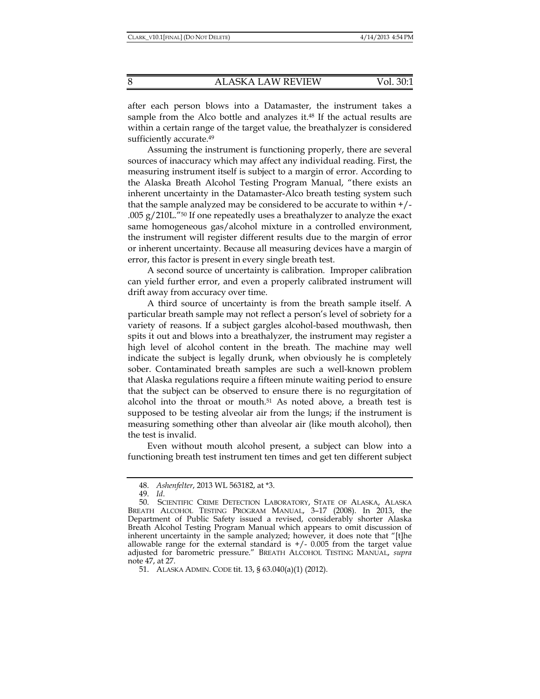after each person blows into a Datamaster, the instrument takes a sample from the Alco bottle and analyzes it. $48$  If the actual results are within a certain range of the target value, the breathalyzer is considered sufficiently accurate.<sup>49</sup>

Assuming the instrument is functioning properly, there are several sources of inaccuracy which may affect any individual reading. First, the measuring instrument itself is subject to a margin of error. According to the Alaska Breath Alcohol Testing Program Manual, "there exists an inherent uncertainty in the Datamaster-Alco breath testing system such that the sample analyzed may be considered to be accurate to within  $+/-$ .005  $g/210L$ ."<sup>50</sup> If one repeatedly uses a breathalyzer to analyze the exact same homogeneous gas/alcohol mixture in a controlled environment, the instrument will register different results due to the margin of error or inherent uncertainty. Because all measuring devices have a margin of error, this factor is present in every single breath test.

A second source of uncertainty is calibration. Improper calibration can yield further error, and even a properly calibrated instrument will drift away from accuracy over time.

A third source of uncertainty is from the breath sample itself. A particular breath sample may not reflect a person's level of sobriety for a variety of reasons. If a subject gargles alcohol-based mouthwash, then spits it out and blows into a breathalyzer, the instrument may register a high level of alcohol content in the breath. The machine may well indicate the subject is legally drunk, when obviously he is completely sober. Contaminated breath samples are such a well-known problem that Alaska regulations require a fifteen minute waiting period to ensure that the subject can be observed to ensure there is no regurgitation of alcohol into the throat or mouth.<sup>51</sup> As noted above, a breath test is supposed to be testing alveolar air from the lungs; if the instrument is measuring something other than alveolar air (like mouth alcohol), then the test is invalid.

Even without mouth alcohol present, a subject can blow into a functioning breath test instrument ten times and get ten different subject

 <sup>48.</sup> *Ashenfelter*, 2013 WL 563182, at \*3.

 <sup>49.</sup> *Id*.

 <sup>50.</sup> SCIENTIFIC CRIME DETECTION LABORATORY, STATE OF ALASKA, ALASKA BREATH ALCOHOL TESTING PROGRAM MANUAL, 3–17 (2008). In 2013, the Department of Public Safety issued a revised, considerably shorter Alaska Breath Alcohol Testing Program Manual which appears to omit discussion of inherent uncertainty in the sample analyzed; however, it does note that "[t]he allowable range for the external standard is  $+/$ - 0.005 from the target value adjusted for barometric pressure." BREATH ALCOHOL TESTING MANUAL, *supra* note 47, at 27.

 <sup>51.</sup> ALASKA ADMIN. CODE tit. 13, § 63.040(a)(1) (2012).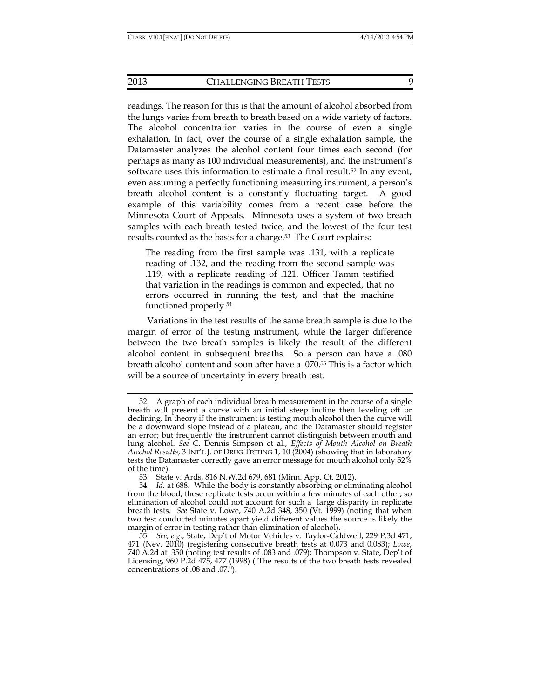readings. The reason for this is that the amount of alcohol absorbed from the lungs varies from breath to breath based on a wide variety of factors. The alcohol concentration varies in the course of even a single exhalation. In fact, over the course of a single exhalation sample, the Datamaster analyzes the alcohol content four times each second (for perhaps as many as 100 individual measurements), and the instrument's software uses this information to estimate a final result.52 In any event, even assuming a perfectly functioning measuring instrument, a person's breath alcohol content is a constantly fluctuating target. A good example of this variability comes from a recent case before the Minnesota Court of Appeals. Minnesota uses a system of two breath samples with each breath tested twice, and the lowest of the four test results counted as the basis for a charge.<sup>53</sup> The Court explains:

The reading from the first sample was .131, with a replicate reading of .132, and the reading from the second sample was .119, with a replicate reading of .121. Officer Tamm testified that variation in the readings is common and expected, that no errors occurred in running the test, and that the machine functioned properly.54

Variations in the test results of the same breath sample is due to the margin of error of the testing instrument, while the larger difference between the two breath samples is likely the result of the different alcohol content in subsequent breaths. So a person can have a .080 breath alcohol content and soon after have a .070.55 This is a factor which will be a source of uncertainty in every breath test.

 <sup>52.</sup> A graph of each individual breath measurement in the course of a single breath will present a curve with an initial steep incline then leveling off or declining. In theory if the instrument is testing mouth alcohol then the curve will be a downward slope instead of a plateau, and the Datamaster should register an error; but frequently the instrument cannot distinguish between mouth and lung alcohol. *See* C. Dennis Simpson et al., *Effects of Mouth Alcohol on Breath Alcohol Results*, 3 INT'L J. OF DRUG TESTING 1, 10 (2004) (showing that in laboratory tests the Datamaster correctly gave an error message for mouth alcohol only 52% of the time).

 <sup>53.</sup> State v. Ards, 816 N.W.2d 679, 681 (Minn. App. Ct. 2012).

 <sup>54.</sup> *Id.* at 688. While the body is constantly absorbing or eliminating alcohol from the blood, these replicate tests occur within a few minutes of each other, so elimination of alcohol could not account for such a large disparity in replicate breath tests. *See* State v. Lowe, 740 A.2d 348, 350 (Vt. 1999) (noting that when two test conducted minutes apart yield different values the source is likely the margin of error in testing rather than elimination of alcohol).

 <sup>55.</sup> *See, e.g.*, State, Dep't of Motor Vehicles v. Taylor-Caldwell, 229 P.3d 471, 471 (Nev. 2010) (registering consecutive breath tests at 0.073 and 0.083); *Lowe*, 740 A.2d at 350 (noting test results of .083 and .079); Thompson v. State, Dep't of Licensing, 960 P.2d 475, 477 (1998) ("The results of the two breath tests revealed concentrations of .08 and .07.").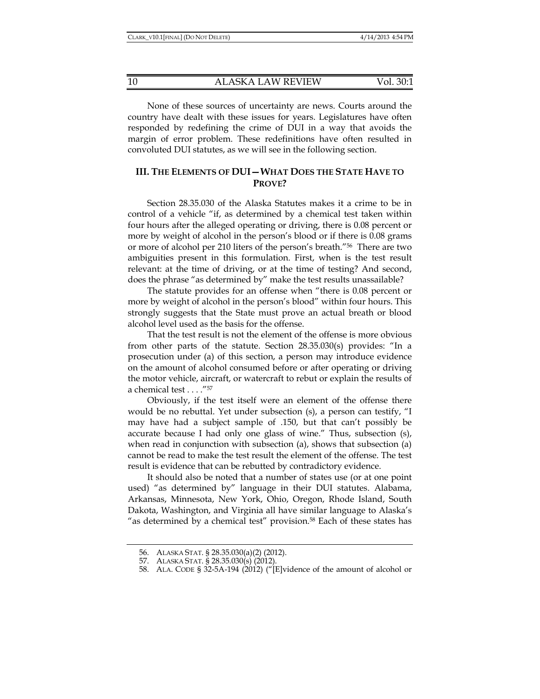None of these sources of uncertainty are news. Courts around the country have dealt with these issues for years. Legislatures have often responded by redefining the crime of DUI in a way that avoids the margin of error problem. These redefinitions have often resulted in convoluted DUI statutes, as we will see in the following section.

## **III. THE ELEMENTS OF DUI—WHAT DOES THE STATE HAVE TO PROVE?**

Section 28.35.030 of the Alaska Statutes makes it a crime to be in control of a vehicle "if, as determined by a chemical test taken within four hours after the alleged operating or driving, there is 0.08 percent or more by weight of alcohol in the person's blood or if there is 0.08 grams or more of alcohol per 210 liters of the person's breath."56 There are two ambiguities present in this formulation. First, when is the test result relevant: at the time of driving, or at the time of testing? And second, does the phrase "as determined by" make the test results unassailable?

The statute provides for an offense when "there is 0.08 percent or more by weight of alcohol in the person's blood" within four hours. This strongly suggests that the State must prove an actual breath or blood alcohol level used as the basis for the offense.

That the test result is not the element of the offense is more obvious from other parts of the statute. Section 28.35.030(s) provides: "In a prosecution under (a) of this section, a person may introduce evidence on the amount of alcohol consumed before or after operating or driving the motor vehicle, aircraft, or watercraft to rebut or explain the results of a chemical test . . . ."57

Obviously, if the test itself were an element of the offense there would be no rebuttal. Yet under subsection (s), a person can testify, "I may have had a subject sample of .150, but that can't possibly be accurate because I had only one glass of wine." Thus, subsection (s), when read in conjunction with subsection (a), shows that subsection (a) cannot be read to make the test result the element of the offense. The test result is evidence that can be rebutted by contradictory evidence.

It should also be noted that a number of states use (or at one point used) "as determined by" language in their DUI statutes. Alabama, Arkansas, Minnesota, New York, Ohio, Oregon, Rhode Island, South Dakota, Washington, and Virginia all have similar language to Alaska's "as determined by a chemical test" provision.<sup>58</sup> Each of these states has

 <sup>56.</sup> ALASKA STAT. § 28.35.030(a)(2) (2012).

 <sup>57.</sup> ALASKA STAT. § 28.35.030(s) (2012).

 <sup>58.</sup> ALA. CODE § 32-5A-194 (2012) ("[E]vidence of the amount of alcohol or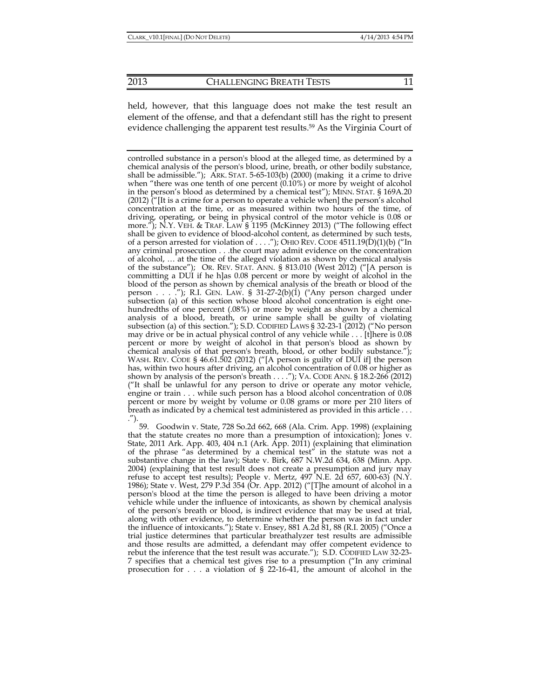held, however, that this language does not make the test result an element of the offense, and that a defendant still has the right to present evidence challenging the apparent test results.<sup>59</sup> As the Virginia Court of

controlled substance in a person's blood at the alleged time, as determined by a chemical analysis of the person's blood, urine, breath, or other bodily substance, shall be admissible."); ARK. STAT. 5-65-103(b) (2000) (making it a crime to drive when "there was one tenth of one percent  $(0.10\%)$  or more by weight of alcohol in the person's blood as determined by a chemical test"); MINN. STAT. § 169A.20 (2012) ("[It is a crime for a person to operate a vehicle when] the person's alcohol concentration at the time, or as measured within two hours of the time, of driving, operating, or being in physical control of the motor vehicle is 0.08 or more."); N.Y. VEH. & TRAF. LAW § 1195 (McKinney 2013) ("The following effect shall be given to evidence of blood-alcohol content, as determined by such tests, of a person arrested for violation of ...."); OHIO REV. CODE  $4511.19(D)(1)(b)$  ("In any criminal prosecution . . .the court may admit evidence on the concentration of alcohol, … at the time of the alleged violation as shown by chemical analysis of the substance"); OR. REV. STAT. ANN. § 813.010 (West 2012) ("[A person is committing a DUI if he h]as 0.08 percent or more by weight of alcohol in the blood of the person as shown by chemical analysis of the breath or blood of the person . . . . "); R.I. GEN. LAW. § 31-27-2(b)(1) ("Any person charged under subsection (a) of this section whose blood alcohol concentration is eight onehundredths of one percent (.08%) or more by weight as shown by a chemical analysis of a blood, breath, or urine sample shall be guilty of violating subsection (a) of this section."); S.D. CODIFIED LAWS § 32-23-1 (2012) ("No person may drive or be in actual physical control of any vehicle while . . . [t]here is 0.08 percent or more by weight of alcohol in that person's blood as shown by chemical analysis of that person's breath, blood, or other bodily substance."); WASH. REV. CODE § 46.61.502 (2012) ("[A person is guilty of DUI if] the person has, within two hours after driving, an alcohol concentration of 0.08 or higher as shown by analysis of the person's breath . . . ."); VA. CODE ANN. § 18.2-266 (2012) ("It shall be unlawful for any person to drive or operate any motor vehicle, engine or train . . . while such person has a blood alcohol concentration of 0.08 percent or more by weight by volume or 0.08 grams or more per 210 liters of breath as indicated by a chemical test administered as provided in this article . . . .").

 59. Goodwin v. State, 728 So.2d 662, 668 (Ala. Crim. App. 1998) (explaining that the statute creates no more than a presumption of intoxication); Jones v. State, 2011 Ark. App. 403, 404 n.1 (Ark. App. 2011) (explaining that elimination of the phrase "as determined by a chemical test" in the statute was not a substantive change in the law); State v. Birk, 687 N.W.2d 634, 638 (Minn. App. 2004) (explaining that test result does not create a presumption and jury may refuse to accept test results); People v. Mertz,  $497$  N.E. 2d  $657$ ,  $600-63$ ) (N.Y. 1986); State v. West, 279 P.3d 354 (Or. App. 2012) ("[T]he amount of alcohol in a person's blood at the time the person is alleged to have been driving a motor vehicle while under the influence of intoxicants, as shown by chemical analysis of the person's breath or blood, is indirect evidence that may be used at trial, along with other evidence, to determine whether the person was in fact under the influence of intoxicants."); State v. Ensey, 881 A.2d 81, 88 (R.I. 2005) ("Once a trial justice determines that particular breathalyzer test results are admissible and those results are admitted, a defendant may offer competent evidence to rebut the inference that the test result was accurate."); S.D. CODIFIED LAW 32-23- 7 specifies that a chemical test gives rise to a presumption ("In any criminal prosecution for . . . a violation of § 22-16-41, the amount of alcohol in the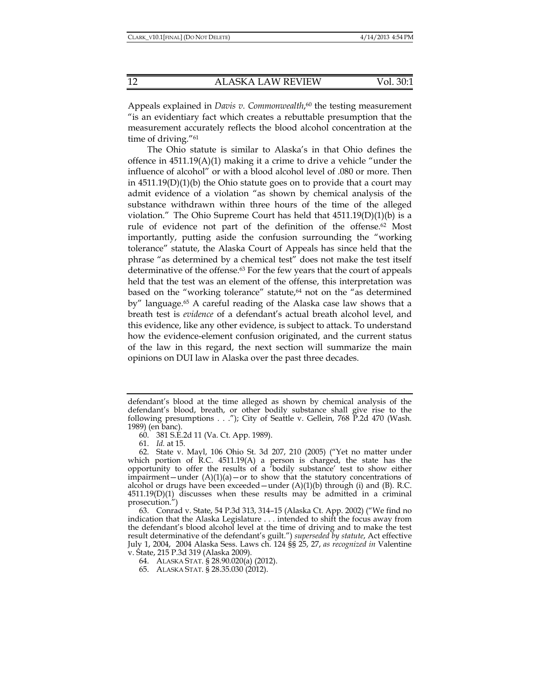Appeals explained in *Davis v. Commonwealth*, 60 the testing measurement "is an evidentiary fact which creates a rebuttable presumption that the measurement accurately reflects the blood alcohol concentration at the time of driving."61

The Ohio statute is similar to Alaska's in that Ohio defines the offence in  $4511.19(A)(1)$  making it a crime to drive a vehicle "under the influence of alcohol" or with a blood alcohol level of .080 or more. Then in  $4511.19(D)(1)(b)$  the Ohio statute goes on to provide that a court may admit evidence of a violation "as shown by chemical analysis of the substance withdrawn within three hours of the time of the alleged violation." The Ohio Supreme Court has held that  $4511.19(D)(1)(b)$  is a rule of evidence not part of the definition of the offense.62 Most importantly, putting aside the confusion surrounding the "working tolerance" statute, the Alaska Court of Appeals has since held that the phrase "as determined by a chemical test" does not make the test itself determinative of the offense.63 For the few years that the court of appeals held that the test was an element of the offense, this interpretation was based on the "working tolerance" statute,<sup>64</sup> not on the "as determined by" language.65 A careful reading of the Alaska case law shows that a breath test is *evidence* of a defendant's actual breath alcohol level, and this evidence, like any other evidence, is subject to attack. To understand how the evidence-element confusion originated, and the current status of the law in this regard, the next section will summarize the main opinions on DUI law in Alaska over the past three decades.

60. 381 S.E.2d 11 (Va. Ct. App. 1989).

61. *Id.* at 15.

defendant's blood at the time alleged as shown by chemical analysis of the defendant's blood, breath, or other bodily substance shall give rise to the following presumptions . . ."); City of Seattle v. Gellein, 768 P.2d 470 (Wash. 1989) (en banc).

 <sup>62.</sup> State v. Mayl, 106 Ohio St. 3d 207, 210 (2005) ("Yet no matter under which portion of R.C. 4511.19(A) a person is charged, the state has the opportunity to offer the results of a 'bodily substance' test to show either impairment—under  $(A)(1)(a)$ —or to show that the statutory concentrations of alcohol or drugs have been exceeded—under  $(A)(1)(b)$  through (i) and  $(B)$ . R.C.  $4511.19(D)(1)$  discusses when these results may be admitted in a criminal prosecution.")

 <sup>63.</sup> Conrad v. State, 54 P.3d 313, 314–15 (Alaska Ct. App. 2002) ("We find no indication that the Alaska Legislature . . . intended to shift the focus away from the defendant's blood alcohol level at the time of driving and to make the test result determinative of the defendant's guilt.") *superseded by statute*, Act effective July 1, 2004, 2004 Alaska Sess. Laws ch. 124 §§ 25, 27, *as recognized in* Valentine v. State, 215 P.3d 319 (Alaska 2009).

 <sup>64.</sup> ALASKA STAT. § 28.90.020(a) (2012).

 <sup>65.</sup> ALASKA STAT. § 28.35.030 (2012).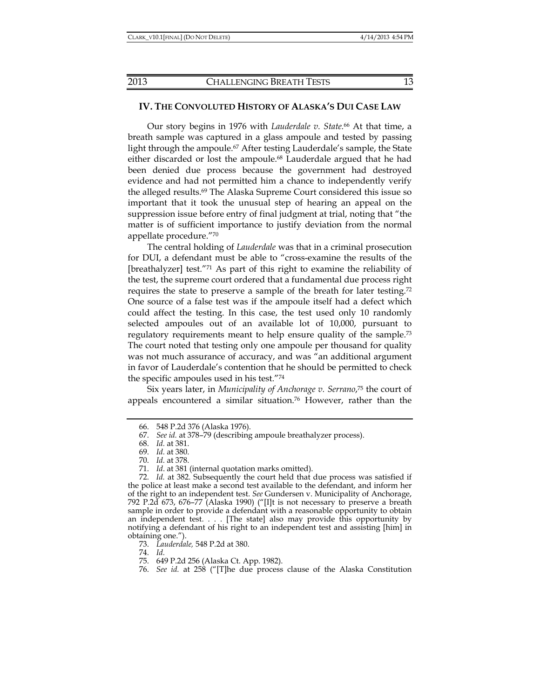## **IV. THE CONVOLUTED HISTORY OF ALASKA'S DUI CASE LAW**

Our story begins in 1976 with *Lauderdale v. State.*66 At that time, a breath sample was captured in a glass ampoule and tested by passing light through the ampoule.67 After testing Lauderdale's sample, the State either discarded or lost the ampoule.<sup>68</sup> Lauderdale argued that he had been denied due process because the government had destroyed evidence and had not permitted him a chance to independently verify the alleged results.69 The Alaska Supreme Court considered this issue so important that it took the unusual step of hearing an appeal on the suppression issue before entry of final judgment at trial, noting that "the matter is of sufficient importance to justify deviation from the normal appellate procedure."70

The central holding of *Lauderdale* was that in a criminal prosecution for DUI, a defendant must be able to "cross-examine the results of the [breathalyzer] test."71 As part of this right to examine the reliability of the test, the supreme court ordered that a fundamental due process right requires the state to preserve a sample of the breath for later testing.72 One source of a false test was if the ampoule itself had a defect which could affect the testing. In this case, the test used only 10 randomly selected ampoules out of an available lot of 10,000, pursuant to regulatory requirements meant to help ensure quality of the sample.<sup>73</sup> The court noted that testing only one ampoule per thousand for quality was not much assurance of accuracy, and was "an additional argument in favor of Lauderdale's contention that he should be permitted to check the specific ampoules used in his test."74

Six years later, in *Municipality of Anchorage v. Serrano*, 75 the court of appeals encountered a similar situation.76 However, rather than the

74. *Id.*

 <sup>66. 548</sup> P.2d 376 (Alaska 1976).

 <sup>67.</sup> *See id.* at 378–79 (describing ampoule breathalyzer process).

 <sup>68.</sup> *Id.* at 381.

 <sup>69.</sup> *Id.* at 380.

 <sup>70.</sup> *Id.* at 378.

 <sup>71.</sup> *Id*. at 381 (internal quotation marks omitted).

 <sup>72.</sup> *Id.* at 382. Subsequently the court held that due process was satisfied if the police at least make a second test available to the defendant, and inform her of the right to an independent test. *See* Gundersen v. Municipality of Anchorage, 792 P.2d 673, 676–77 (Alaska 1990) ("[I]t is not necessary to preserve a breath sample in order to provide a defendant with a reasonable opportunity to obtain an independent test. . . . [The state] also may provide this opportunity by notifying a defendant of his right to an independent test and assisting [him] in obtaining one.").

 <sup>73.</sup> *Lauderdale,* 548 P.2d at 380.

 <sup>75. 649</sup> P.2d 256 (Alaska Ct. App. 1982).

 <sup>76.</sup> *See id.* at 258 ("[T]he due process clause of the Alaska Constitution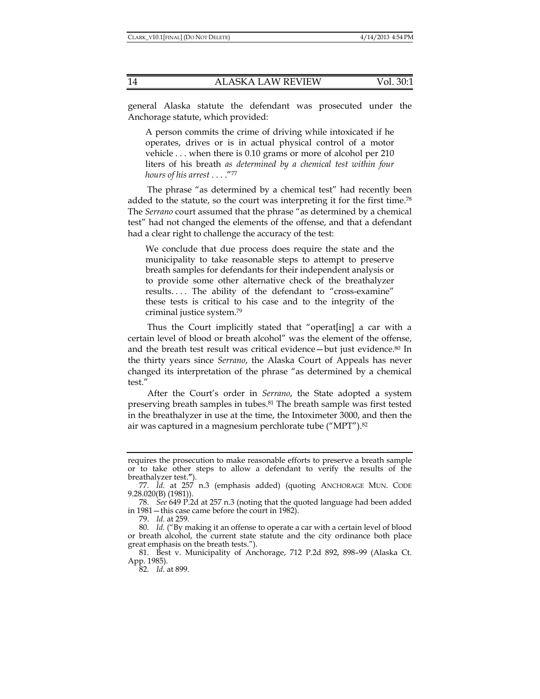general Alaska statute the defendant was prosecuted under the Anchorage statute, which provided:

A person commits the crime of driving while intoxicated if he operates, drives or is in actual physical control of a motor vehicle . . . when there is 0.10 grams or more of alcohol per 210 liters of his breath *as determined by a chemical test within four hours of his arrest* . . . ."77

The phrase "as determined by a chemical test" had recently been added to the statute, so the court was interpreting it for the first time.78 The *Serrano* court assumed that the phrase "as determined by a chemical test" had not changed the elements of the offense, and that a defendant had a clear right to challenge the accuracy of the test:

We conclude that due process does require the state and the municipality to take reasonable steps to attempt to preserve breath samples for defendants for their independent analysis or to provide some other alternative check of the breathalyzer results. . . . The ability of the defendant to "cross-examine" these tests is critical to his case and to the integrity of the criminal justice system.79

Thus the Court implicitly stated that "operat[ing] a car with a certain level of blood or breath alcohol" was the element of the offense, and the breath test result was critical evidence—but just evidence.80 In the thirty years since *Serrano*, the Alaska Court of Appeals has never changed its interpretation of the phrase "as determined by a chemical test."

After the Court's order in *Serrano*, the State adopted a system preserving breath samples in tubes.<sup>81</sup> The breath sample was first tested in the breathalyzer in use at the time, the Intoximeter 3000, and then the air was captured in a magnesium perchlorate tube ("MPT").82

requires the prosecution to make reasonable efforts to preserve a breath sample or to take other steps to allow a defendant to verify the results of the breathalyzer test.**"**).

 <sup>77.</sup> *Id.* at 257 n.3 (emphasis added) (quoting ANCHORAGE MUN. CODE 9.28.020(B) (1981)).

 <sup>78.</sup> *See* 649 P.2d at 257 n.3 (noting that the quoted language had been added in 1981—this case came before the court in 1982).

 <sup>79.</sup> *Id.* at 259.

 <sup>80.</sup> *Id.* ("By making it an offense to operate a car with a certain level of blood or breath alcohol, the current state statute and the city ordinance both place great emphasis on the breath tests.").

 <sup>81.</sup> Best v. Municipality of Anchorage, 712 P.2d 892, 898–99 (Alaska Ct. App. 1985).

 <sup>82.</sup> *Id.* at 899.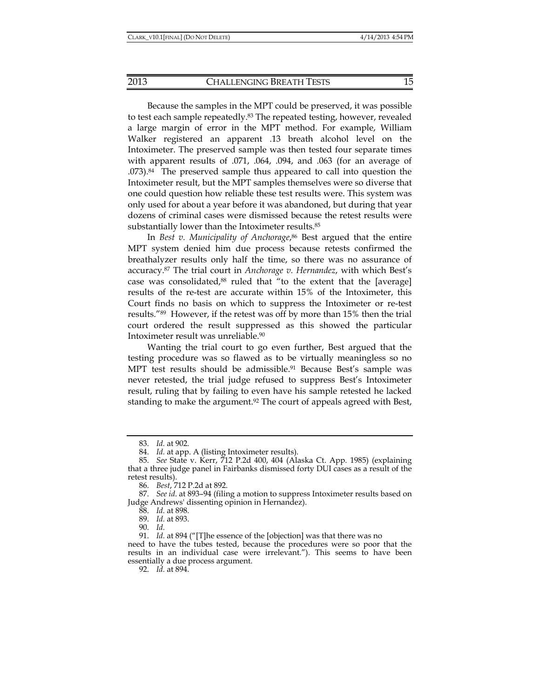Because the samples in the MPT could be preserved, it was possible to test each sample repeatedly.83 The repeated testing, however, revealed a large margin of error in the MPT method. For example, William Walker registered an apparent .13 breath alcohol level on the Intoximeter. The preserved sample was then tested four separate times with apparent results of .071, .064, .094, and .063 (for an average of .073).84 The preserved sample thus appeared to call into question the Intoximeter result, but the MPT samples themselves were so diverse that one could question how reliable these test results were. This system was only used for about a year before it was abandoned, but during that year dozens of criminal cases were dismissed because the retest results were substantially lower than the Intoximeter results.85

In *Best v. Municipality of Anchorage*, 86 Best argued that the entire MPT system denied him due process because retests confirmed the breathalyzer results only half the time, so there was no assurance of accuracy.87 The trial court in *Anchorage v. Hernandez*, with which Best's case was consolidated,<sup>88</sup> ruled that "to the extent that the [average] results of the re-test are accurate within 15% of the Intoximeter, this Court finds no basis on which to suppress the Intoximeter or re-test results."89 However, if the retest was off by more than 15% then the trial court ordered the result suppressed as this showed the particular Intoximeter result was unreliable.90

Wanting the trial court to go even further, Best argued that the testing procedure was so flawed as to be virtually meaningless so no MPT test results should be admissible.<sup>91</sup> Because Best's sample was never retested, the trial judge refused to suppress Best's Intoximeter result, ruling that by failing to even have his sample retested he lacked standing to make the argument.<sup>92</sup> The court of appeals agreed with Best,

90. *Id.*

 <sup>83.</sup> *Id.* at 902.

 <sup>84.</sup> *Id.* at app. A (listing Intoximeter results).

 <sup>85.</sup> *See* State v. Kerr, 712 P.2d 400, 404 (Alaska Ct. App. 1985) (explaining that a three judge panel in Fairbanks dismissed forty DUI cases as a result of the retest results).

 <sup>86.</sup> *Best*, 712 P.2d at 892.

 <sup>87.</sup> *See id*. at 893–94 (filing a motion to suppress Intoximeter results based on Judge Andrews' dissenting opinion in Hernandez).

 <sup>88.</sup> *Id.* at 898.

 <sup>89.</sup> *Id.* at 893.

 <sup>91.</sup> *Id.* at 894 ("[T]he essence of the [objection] was that there was no

need to have the tubes tested, because the procedures were so poor that the results in an individual case were irrelevant."). This seems to have been essentially a due process argument.

 <sup>92.</sup> *Id.* at 894.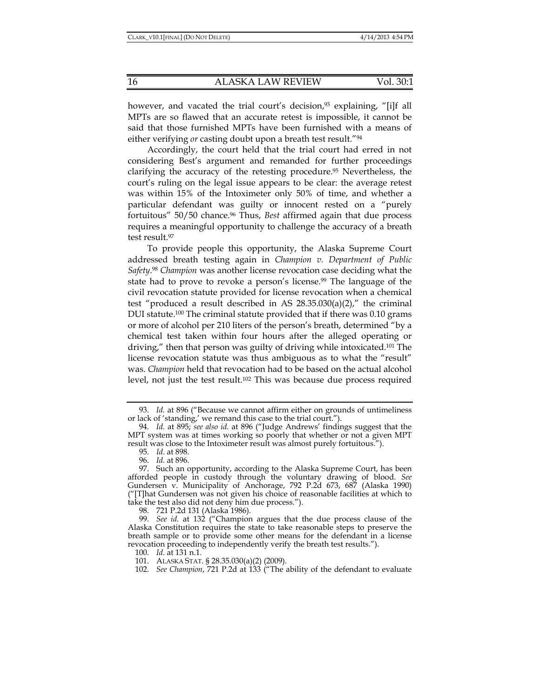however, and vacated the trial court's decision,<sup>93</sup> explaining, "[i]f all MPTs are so flawed that an accurate retest is impossible, it cannot be said that those furnished MPTs have been furnished with a means of either verifying *or* casting doubt upon a breath test result."94

Accordingly, the court held that the trial court had erred in not considering Best's argument and remanded for further proceedings clarifying the accuracy of the retesting procedure.<sup>95</sup> Nevertheless, the court's ruling on the legal issue appears to be clear: the average retest was within 15% of the Intoximeter only 50% of time, and whether a particular defendant was guilty or innocent rested on a "purely fortuitous" 50/50 chance.96 Thus, *Best* affirmed again that due process requires a meaningful opportunity to challenge the accuracy of a breath test result.97

To provide people this opportunity, the Alaska Supreme Court addressed breath testing again in *Champion v. Department of Public Safety*. <sup>98</sup> *Champion* was another license revocation case deciding what the state had to prove to revoke a person's license.<sup>99</sup> The language of the civil revocation statute provided for license revocation when a chemical test "produced a result described in AS  $28.35.030(a)(2)$ ," the criminal DUI statute.100 The criminal statute provided that if there was 0.10 grams or more of alcohol per 210 liters of the person's breath, determined "by a chemical test taken within four hours after the alleged operating or driving," then that person was guilty of driving while intoxicated.101 The license revocation statute was thus ambiguous as to what the "result" was. *Champion* held that revocation had to be based on the actual alcohol level, not just the test result.102 This was because due process required

 <sup>93.</sup> *Id.* at 896 ("Because we cannot affirm either on grounds of untimeliness or lack of 'standing,' we remand this case to the trial court.").

 <sup>94.</sup> *Id.* at 895; *see also id.* at 896 ("Judge Andrews' findings suggest that the MPT system was at times working so poorly that whether or not a given MPT result was close to the Intoximeter result was almost purely fortuitous.").

 <sup>95.</sup> *Id.* at 898.

 <sup>96.</sup> *Id.* at 896.

 <sup>97.</sup> Such an opportunity, according to the Alaska Supreme Court, has been afforded people in custody through the voluntary drawing of blood*. See*  Gundersen v. Municipality of Anchorage, 792 P.2d 673, 687 (Alaska 1990) ("[T]hat Gundersen was not given his choice of reasonable facilities at which to take the test also did not deny him due process.").

 <sup>98. 721</sup> P.2d 131 (Alaska 1986).

 <sup>99.</sup> *See id.* at 132 ("Champion argues that the due process clause of the Alaska Constitution requires the state to take reasonable steps to preserve the breath sample or to provide some other means for the defendant in a license revocation proceeding to independently verify the breath test results.").

 <sup>100.</sup> *Id.* at 131 n.1.

 <sup>101.</sup> ALASKA STAT. § 28.35.030(a)(2) (2009).

 <sup>102.</sup> *See Champion*, 721 P.2d at 133 ("The ability of the defendant to evaluate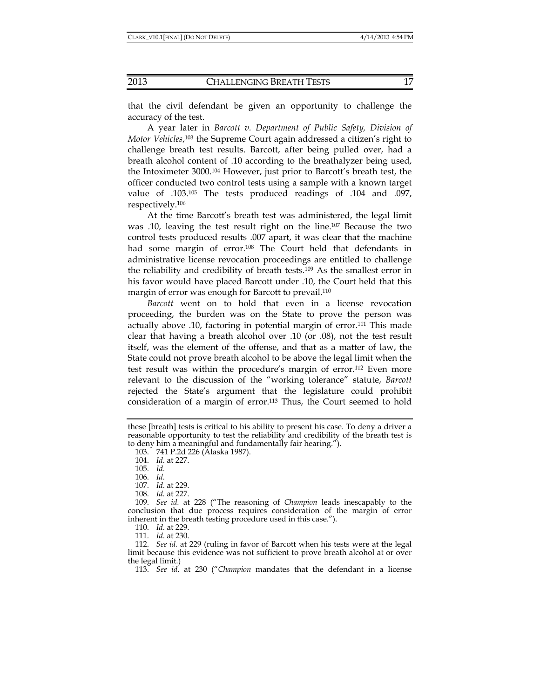that the civil defendant be given an opportunity to challenge the accuracy of the test.

A year later in *Barcott v. Department of Public Safety, Division of Motor Vehicles*, 103 the Supreme Court again addressed a citizen's right to challenge breath test results. Barcott, after being pulled over, had a breath alcohol content of .10 according to the breathalyzer being used, the Intoximeter 3000.104 However, just prior to Barcott's breath test, the officer conducted two control tests using a sample with a known target value of .103.105 The tests produced readings of .104 and .097, respectively.106

At the time Barcott's breath test was administered, the legal limit was .10, leaving the test result right on the line.107 Because the two control tests produced results .007 apart, it was clear that the machine had some margin of error.<sup>108</sup> The Court held that defendants in administrative license revocation proceedings are entitled to challenge the reliability and credibility of breath tests.109 As the smallest error in his favor would have placed Barcott under .10, the Court held that this margin of error was enough for Barcott to prevail.110

*Barcott* went on to hold that even in a license revocation proceeding, the burden was on the State to prove the person was actually above .10, factoring in potential margin of error.111 This made clear that having a breath alcohol over .10 (or .08), not the test result itself, was the element of the offense, and that as a matter of law, the State could not prove breath alcohol to be above the legal limit when the test result was within the procedure's margin of error.112 Even more relevant to the discussion of the "working tolerance" statute, *Barcott* rejected the State's argument that the legislature could prohibit consideration of a margin of error.<sup>113</sup> Thus, the Court seemed to hold

110. *Id.* at 229.

111. *Id.* at 230.

113. *See id*. at 230 ("*Champion* mandates that the defendant in a license

these [breath] tests is critical to his ability to present his case. To deny a driver a reasonable opportunity to test the reliability and credibility of the breath test is to deny him a meaningful and fundamentally fair hearing.").

 <sup>103. 741</sup> P.2d 226 (Alaska 1987).

 <sup>104.</sup> *Id.* at 227.

 <sup>105.</sup> *Id.*

 <sup>106.</sup> *Id.*

 <sup>107.</sup> *Id.* at 229.

 <sup>108.</sup> *Id.* at 227.

 <sup>109.</sup> *See id.* at 228 ("The reasoning of *Champion* leads inescapably to the conclusion that due process requires consideration of the margin of error inherent in the breath testing procedure used in this case.").

 <sup>112.</sup> *See id.* at 229 (ruling in favor of Barcott when his tests were at the legal limit because this evidence was not sufficient to prove breath alcohol at or over the legal limit.)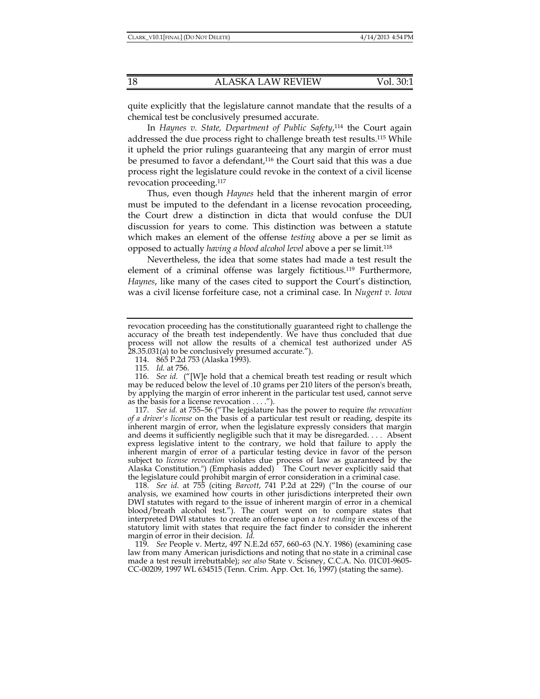quite explicitly that the legislature cannot mandate that the results of a chemical test be conclusively presumed accurate.

In *Haynes v. State, Department of Public Safety*, 114 the Court again addressed the due process right to challenge breath test results.115 While it upheld the prior rulings guaranteeing that any margin of error must be presumed to favor a defendant,<sup>116</sup> the Court said that this was a due process right the legislature could revoke in the context of a civil license revocation proceeding.117

Thus, even though *Haynes* held that the inherent margin of error must be imputed to the defendant in a license revocation proceeding, the Court drew a distinction in dicta that would confuse the DUI discussion for years to come. This distinction was between a statute which makes an element of the offense *testing* above a per se limit as opposed to actually *having a blood alcohol level* above a per se limit.118

Nevertheless, the idea that some states had made a test result the element of a criminal offense was largely fictitious.119 Furthermore, *Haynes*, like many of the cases cited to support the Court's distinction*,* was a civil license forfeiture case, not a criminal case. In *Nugent v. Iowa* 

114. 865 P.2d 753 (Alaska 1993).

 117. *See id.* at 755–56 ("The legislature has the power to require *the revocation of a driver's license* on the basis of a particular test result or reading, despite its inherent margin of error, when the legislature expressly considers that margin and deems it sufficiently negligible such that it may be disregarded. . . . Absent express legislative intent to the contrary, we hold that failure to apply the inherent margin of error of a particular testing device in favor of the person subject to *license revocation* violates due process of law as guaranteed by the Alaska Constitution.") (Emphasis added) The Court never explicitly said that the legislature could prohibit margin of error consideration in a criminal case.

 118. *See id*. at 755 (citing *Barcott*, 741 P.2d at 229) ("In the course of our analysis, we examined how courts in other jurisdictions interpreted their own DWI statutes with regard to the issue of inherent margin of error in a chemical blood/breath alcohol test."). The court went on to compare states that interpreted DWI statutes to create an offense upon a *test reading* in excess of the statutory limit with states that require the fact finder to consider the inherent margin of error in their decision. *Id.*

 119. *See* People v. Mertz, 497 N.E.2d 657, 660–63 (N.Y. 1986) (examining case law from many American jurisdictions and noting that no state in a criminal case made a test result irrebuttable); *see also* State v. Scisney, C.C.A. No. 01C01-9605- CC-00209, 1997 WL 634515 (Tenn. Crim. App. Oct. 16, 1997) (stating the same).

revocation proceeding has the constitutionally guaranteed right to challenge the accuracy of the breath test independently. We have thus concluded that due process will not allow the results of a chemical test authorized under AS 28.35.031(a) to be conclusively presumed accurate.").

 <sup>115.</sup> *Id.* at 756.

 <sup>116.</sup> *See id.* ("[W]e hold that a chemical breath test reading or result which may be reduced below the level of .10 grams per 210 liters of the person's breath, by applying the margin of error inherent in the particular test used, cannot serve as the basis for a license revocation . . . .").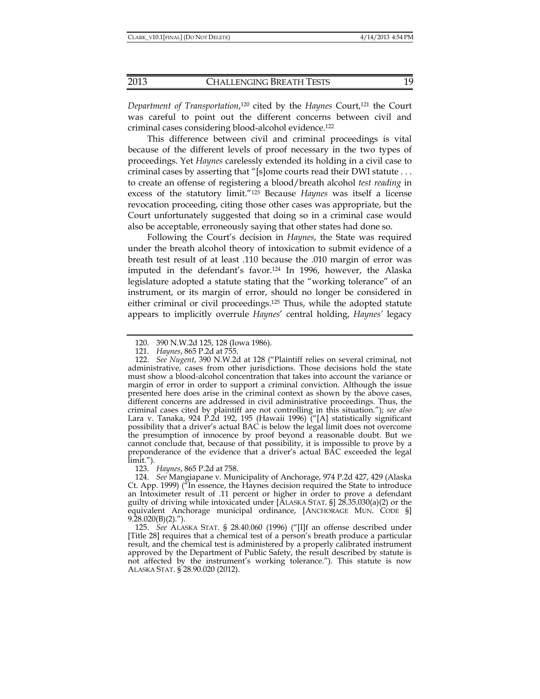*Department of Transportation*, 120 cited by the *Haynes* Court,121 the Court was careful to point out the different concerns between civil and criminal cases considering blood-alcohol evidence.122

This difference between civil and criminal proceedings is vital because of the different levels of proof necessary in the two types of proceedings. Yet *Haynes* carelessly extended its holding in a civil case to criminal cases by asserting that "[s]ome courts read their DWI statute . . . to create an offense of registering a blood/breath alcohol *test reading* in excess of the statutory limit."123 Because *Haynes* was itself a license revocation proceeding, citing those other cases was appropriate, but the Court unfortunately suggested that doing so in a criminal case would also be acceptable, erroneously saying that other states had done so.

Following the Court's decision in *Haynes*, the State was required under the breath alcohol theory of intoxication to submit evidence of a breath test result of at least .110 because the .010 margin of error was imputed in the defendant's favor.<sup>124</sup> In 1996, however, the Alaska legislature adopted a statute stating that the "working tolerance" of an instrument, or its margin of error, should no longer be considered in either criminal or civil proceedings.125 Thus, while the adopted statute appears to implicitly overrule *Haynes*' central holding, *Haynes'* legacy

123. *Haynes*, 865 P.2d at 758.

 <sup>120. 390</sup> N.W.2d 125, 128 (Iowa 1986).

 <sup>121.</sup> *Haynes*, 865 P.2d at 755.

 <sup>122.</sup> *See Nugent*, 390 N.W.2d at 128 ("Plaintiff relies on several criminal, not administrative, cases from other jurisdictions. Those decisions hold the state must show a blood-alcohol concentration that takes into account the variance or margin of error in order to support a criminal conviction. Although the issue presented here does arise in the criminal context as shown by the above cases, different concerns are addressed in civil administrative proceedings. Thus, the criminal cases cited by plaintiff are not controlling in this situation."); *see also* Lara v. Tanaka, 924 P.2d 192, 195 (Hawaii 1996) ("[A] statistically significant possibility that a driver's actual BAC is below the legal limit does not overcome the presumption of innocence by proof beyond a reasonable doubt. But we cannot conclude that, because of that possibility, it is impossible to prove by a preponderance of the evidence that a driver's actual BAC exceeded the legal limit.").

 <sup>124.</sup> *See* Mangiapane v. Municipality of Anchorage, 974 P.2d 427, 429 (Alaska Ct. App. 1999) ("In essence, the Haynes decision required the State to introduce an Intoximeter result of .11 percent or higher in order to prove a defendant guilty of driving while intoxicated under [ALASKA STAT. §] 28.35.030(a)(2) or the equivalent Anchorage municipal ordinance, [ANCHORAGE MUN. CODE §]  $9.\overline{28.020(B)(2)}$ .").

 <sup>125.</sup> *See* ALASKA STAT. § 28.40.060 (1996) ("[I]f an offense described under [Title 28] requires that a chemical test of a person's breath produce a particular result, and the chemical test is administered by a properly calibrated instrument approved by the Department of Public Safety, the result described by statute is not affected by the instrument's working tolerance."). This statute is now ALASKA STAT. § 28.90.020 (2012).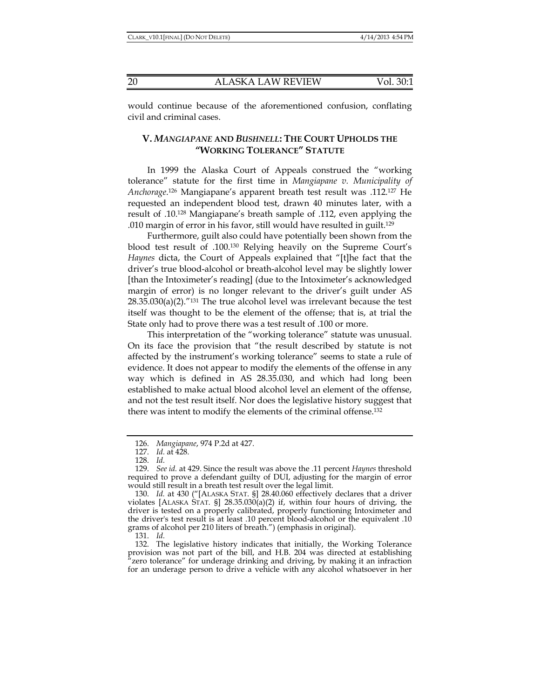would continue because of the aforementioned confusion, conflating civil and criminal cases.

## **V.** *MANGIAPANE* **AND** *BUSHNELL***: THE COURT UPHOLDS THE "WORKING TOLERANCE" STATUTE**

In 1999 the Alaska Court of Appeals construed the "working tolerance" statute for the first time in *Mangiapane v. Municipality of Anchorage*. 126 Mangiapane's apparent breath test result was .112.127 He requested an independent blood test, drawn 40 minutes later, with a result of .10.128 Mangiapane's breath sample of .112, even applying the .010 margin of error in his favor, still would have resulted in guilt.129

Furthermore, guilt also could have potentially been shown from the blood test result of .100.130 Relying heavily on the Supreme Court's *Haynes* dicta, the Court of Appeals explained that "[t]he fact that the driver's true blood-alcohol or breath-alcohol level may be slightly lower [than the Intoximeter's reading] (due to the Intoximeter's acknowledged margin of error) is no longer relevant to the driver's guilt under AS  $28.35.030(a)(2)$ ."<sup>131</sup> The true alcohol level was irrelevant because the test itself was thought to be the element of the offense; that is, at trial the State only had to prove there was a test result of .100 or more.

This interpretation of the "working tolerance" statute was unusual. On its face the provision that "the result described by statute is not affected by the instrument's working tolerance" seems to state a rule of evidence. It does not appear to modify the elements of the offense in any way which is defined in AS 28.35.030, and which had long been established to make actual blood alcohol level an element of the offense, and not the test result itself. Nor does the legislative history suggest that there was intent to modify the elements of the criminal offense.132

131. *Id.*

 <sup>126.</sup> *Mangiapane*, 974 P.2d at 427.

 <sup>127.</sup> *Id.* at 428.

 <sup>128.</sup> *Id.*

 <sup>129.</sup> *See id.* at 429. Since the result was above the .11 percent *Haynes* threshold required to prove a defendant guilty of DUI, adjusting for the margin of error would still result in a breath test result over the legal limit.

 <sup>130.</sup> *Id.* at 430 ("[ALASKA STAT. §] 28.40.060 effectively declares that a driver violates [ALASKA STAT. §] 28.35.030(a)(2) if, within four hours of driving, the driver is tested on a properly calibrated, properly functioning Intoximeter and the driver's test result is at least .10 percent blood-alcohol or the equivalent .10 grams of alcohol per 210 liters of breath.") (emphasis in original).

 <sup>132.</sup> The legislative history indicates that initially, the Working Tolerance provision was not part of the bill, and H.B. 204 was directed at establishing "zero tolerance" for underage drinking and driving, by making it an infraction for an underage person to drive a vehicle with any alcohol whatsoever in her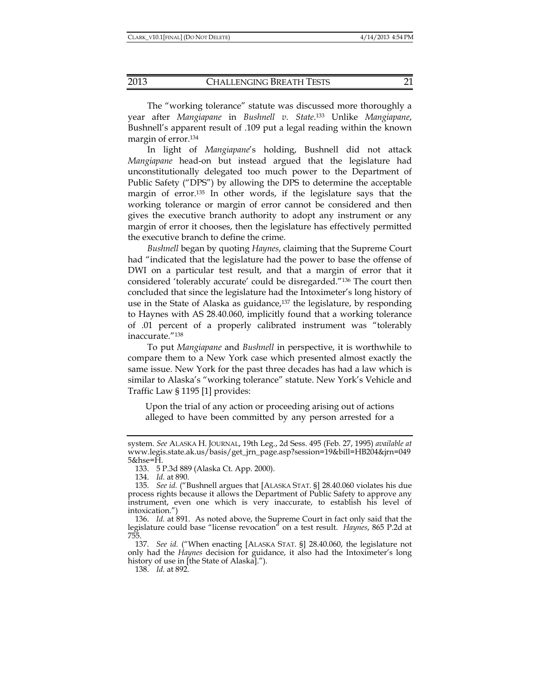The "working tolerance" statute was discussed more thoroughly a year after *Mangiapane* in *Bushnell v. State*. 133 Unlike *Mangiapane*, Bushnell's apparent result of .109 put a legal reading within the known margin of error.134

In light of *Mangiapane*'s holding, Bushnell did not attack *Mangiapane* head-on but instead argued that the legislature had unconstitutionally delegated too much power to the Department of Public Safety ("DPS") by allowing the DPS to determine the acceptable margin of error.135 In other words, if the legislature says that the working tolerance or margin of error cannot be considered and then gives the executive branch authority to adopt any instrument or any margin of error it chooses, then the legislature has effectively permitted the executive branch to define the crime.

*Bushnell* began by quoting *Haynes*, claiming that the Supreme Court had "indicated that the legislature had the power to base the offense of DWI on a particular test result, and that a margin of error that it considered 'tolerably accurate' could be disregarded."136 The court then concluded that since the legislature had the Intoximeter's long history of use in the State of Alaska as guidance,137 the legislature, by responding to Haynes with AS 28.40.060, implicitly found that a working tolerance of .01 percent of a properly calibrated instrument was "tolerably inaccurate."138

To put *Mangiapane* and *Bushnell* in perspective, it is worthwhile to compare them to a New York case which presented almost exactly the same issue. New York for the past three decades has had a law which is similar to Alaska's "working tolerance" statute. New York's Vehicle and Traffic Law § 1195 [1] provides:

Upon the trial of any action or proceeding arising out of actions alleged to have been committed by any person arrested for a

system. *See* ALASKA H. JOURNAL, 19th Leg., 2d Sess. 495 (Feb. 27, 1995) *available at* www.legis.state.ak.us/basis/get\_jrn\_page.asp?session=19&bill=HB204&jrn=049 5&hse=H.

 <sup>133. 5</sup> P.3d 889 (Alaska Ct. App. 2000).

 <sup>134.</sup> *Id.* at 890.

 <sup>135.</sup> *See id.* ("Bushnell argues that [ALASKA STAT. §] 28.40.060 violates his due process rights because it allows the Department of Public Safety to approve any instrument, even one which is very inaccurate, to establish his level of intoxication.")

 <sup>136.</sup> *Id.* at 891. As noted above, the Supreme Court in fact only said that the legislature could base "license revocation" on a test result. *Haynes*, 865 P.2d at 755.

 <sup>137.</sup> *See id.* ("When enacting [ALASKA STAT. §] 28.40.060, the legislature not only had the *Haynes* decision for guidance, it also had the Intoximeter's long history of use in [the State of Alaska].").

 <sup>138.</sup> *Id.* at 892.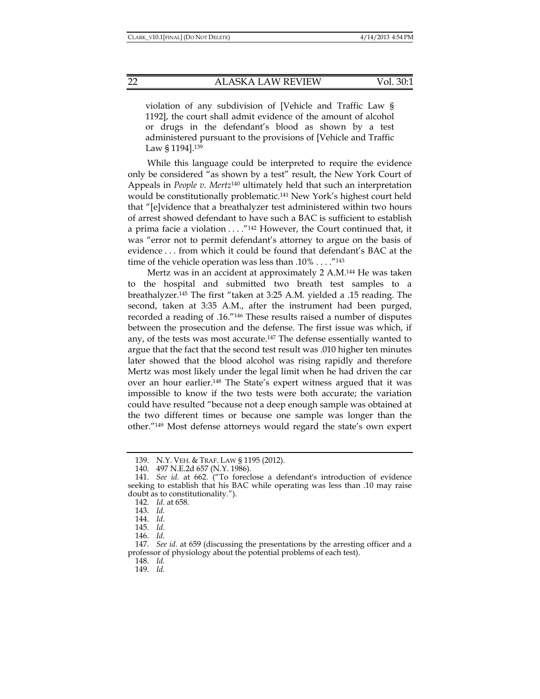violation of any subdivision of [Vehicle and Traffic Law § 1192], the court shall admit evidence of the amount of alcohol or drugs in the defendant's blood as shown by a test administered pursuant to the provisions of [Vehicle and Traffic Law § 1194].<sup>139</sup>

While this language could be interpreted to require the evidence only be considered "as shown by a test" result, the New York Court of Appeals in *People v. Mertz*140 ultimately held that such an interpretation would be constitutionally problematic.<sup>141</sup> New York's highest court held that "[e]vidence that a breathalyzer test administered within two hours of arrest showed defendant to have such a BAC is sufficient to establish a prima facie a violation  $\dots$ ."<sup>142</sup> However, the Court continued that, it was "error not to permit defendant's attorney to argue on the basis of evidence . . . from which it could be found that defendant's BAC at the time of the vehicle operation was less than  $.10\% \ldots$ ."<sup>143</sup>

Mertz was in an accident at approximately 2 A.M.144 He was taken to the hospital and submitted two breath test samples to a breathalyzer.145 The first "taken at 3:25 A.M. yielded a .15 reading. The second, taken at 3:35 A.M., after the instrument had been purged, recorded a reading of .16."146 These results raised a number of disputes between the prosecution and the defense. The first issue was which, if any, of the tests was most accurate.147 The defense essentially wanted to argue that the fact that the second test result was .010 higher ten minutes later showed that the blood alcohol was rising rapidly and therefore Mertz was most likely under the legal limit when he had driven the car over an hour earlier.148 The State's expert witness argued that it was impossible to know if the two tests were both accurate; the variation could have resulted "because not a deep enough sample was obtained at the two different times or because one sample was longer than the other."149 Most defense attorneys would regard the state's own expert

148. *Id.*

 <sup>139.</sup> N.Y. VEH. & TRAF. LAW § 1195 (2012).

 <sup>140. 497</sup> N.E.2d 657 (N.Y. 1986).

 <sup>141.</sup> *See id.* at 662. ("To foreclose a defendant's introduction of evidence seeking to establish that his BAC while operating was less than .10 may raise doubt as to constitutionality.").

 <sup>142.</sup> *Id.* at 658.

 <sup>143.</sup> *Id.*

 <sup>144.</sup> *Id*.

 <sup>145.</sup> *Id.*

 <sup>146.</sup> *Id.*

 <sup>147.</sup> *See id.* at 659 (discussing the presentations by the arresting officer and a professor of physiology about the potential problems of each test).

 <sup>149.</sup> *Id.*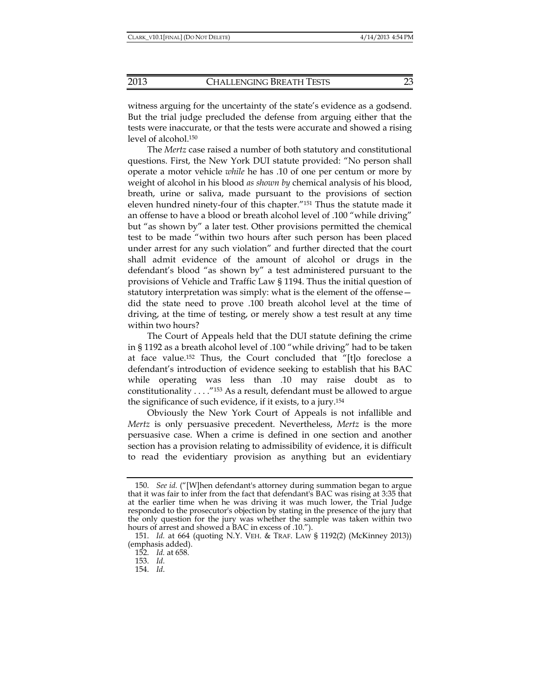witness arguing for the uncertainty of the state's evidence as a godsend. But the trial judge precluded the defense from arguing either that the tests were inaccurate, or that the tests were accurate and showed a rising level of alcohol.150

The *Mertz* case raised a number of both statutory and constitutional questions. First, the New York DUI statute provided: "No person shall operate a motor vehicle *while* he has .10 of one per centum or more by weight of alcohol in his blood *as shown by* chemical analysis of his blood, breath, urine or saliva, made pursuant to the provisions of section eleven hundred ninety-four of this chapter."151 Thus the statute made it an offense to have a blood or breath alcohol level of .100 "while driving" but "as shown by" a later test. Other provisions permitted the chemical test to be made "within two hours after such person has been placed under arrest for any such violation" and further directed that the court shall admit evidence of the amount of alcohol or drugs in the defendant's blood "as shown by" a test administered pursuant to the provisions of Vehicle and Traffic Law § 1194. Thus the initial question of statutory interpretation was simply: what is the element of the offense did the state need to prove .100 breath alcohol level at the time of driving, at the time of testing, or merely show a test result at any time within two hours?

The Court of Appeals held that the DUI statute defining the crime in § 1192 as a breath alcohol level of .100 "while driving" had to be taken at face value.152 Thus, the Court concluded that "[t]o foreclose a defendant's introduction of evidence seeking to establish that his BAC while operating was less than .10 may raise doubt as to constitutionality . . . ."153 As a result, defendant must be allowed to argue the significance of such evidence, if it exists, to a jury.154

Obviously the New York Court of Appeals is not infallible and *Mertz* is only persuasive precedent. Nevertheless, *Mertz* is the more persuasive case. When a crime is defined in one section and another section has a provision relating to admissibility of evidence, it is difficult to read the evidentiary provision as anything but an evidentiary

 <sup>150.</sup> *See id.* ("[W]hen defendant's attorney during summation began to argue that it was fair to infer from the fact that defendant's BAC was rising at 3:35 that at the earlier time when he was driving it was much lower, the Trial Judge responded to the prosecutor's objection by stating in the presence of the jury that the only question for the jury was whether the sample was taken within two hours of arrest and showed a BAC in excess of .10.").

 <sup>151.</sup> *Id.* at 664 (quoting N.Y. VEH. & TRAF. LAW § 1192(2) (McKinney 2013)) (emphasis added).

 <sup>152.</sup> *Id.* at 658.

 <sup>153.</sup> *Id.*

 <sup>154.</sup> *Id*.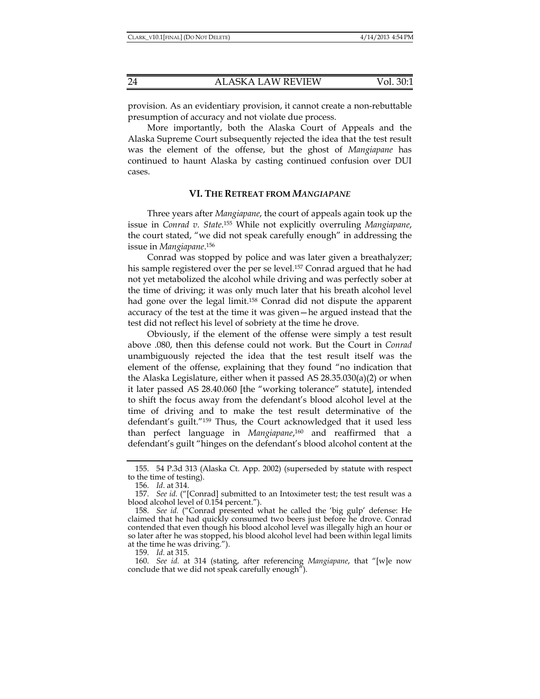provision. As an evidentiary provision, it cannot create a non-rebuttable presumption of accuracy and not violate due process.

More importantly, both the Alaska Court of Appeals and the Alaska Supreme Court subsequently rejected the idea that the test result was the element of the offense, but the ghost of *Mangiapane* has continued to haunt Alaska by casting continued confusion over DUI cases.

## **VI. THE RETREAT FROM** *MANGIAPANE*

Three years after *Mangiapane*, the court of appeals again took up the issue in *Conrad v. State*. 155 While not explicitly overruling *Mangiapane*, the court stated, "we did not speak carefully enough" in addressing the issue in *Mangiapane*. 156

Conrad was stopped by police and was later given a breathalyzer; his sample registered over the per se level.157 Conrad argued that he had not yet metabolized the alcohol while driving and was perfectly sober at the time of driving; it was only much later that his breath alcohol level had gone over the legal limit.<sup>158</sup> Conrad did not dispute the apparent accuracy of the test at the time it was given—he argued instead that the test did not reflect his level of sobriety at the time he drove.

Obviously, if the element of the offense were simply a test result above .080, then this defense could not work. But the Court in *Conrad* unambiguously rejected the idea that the test result itself was the element of the offense, explaining that they found "no indication that the Alaska Legislature, either when it passed AS 28.35.030(a)(2) or when it later passed AS 28.40.060 [the "working tolerance" statute], intended to shift the focus away from the defendant's blood alcohol level at the time of driving and to make the test result determinative of the defendant's guilt."159 Thus, the Court acknowledged that it used less than perfect language in *Mangiapane*, 160 and reaffirmed that a defendant's guilt "hinges on the defendant's blood alcohol content at the

159. *Id.* at 315.

 <sup>155. 54</sup> P.3d 313 (Alaska Ct. App. 2002) (superseded by statute with respect to the time of testing).

 <sup>156.</sup> *Id*. at 314.

 <sup>157.</sup> *See id.* ("[Conrad] submitted to an Intoximeter test; the test result was a blood alcohol level of 0.154 percent.").

 <sup>158.</sup> *See id.* ("Conrad presented what he called the 'big gulp' defense: He claimed that he had quickly consumed two beers just before he drove. Conrad contended that even though his blood alcohol level was illegally high an hour or so later after he was stopped, his blood alcohol level had been within legal limits at the time he was driving.").

 <sup>160.</sup> *See id.* at 314 (stating, after referencing *Mangiapane*, that "[w]e now conclude that we did not speak carefully enough").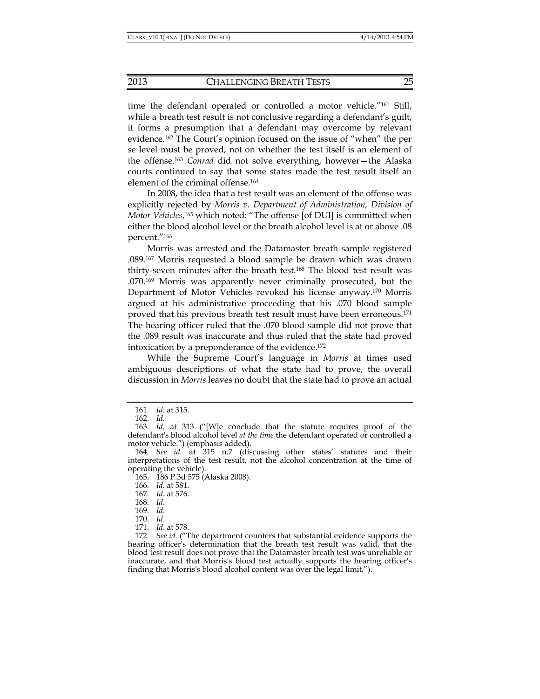time the defendant operated or controlled a motor vehicle."161 Still, while a breath test result is not conclusive regarding a defendant's guilt, it forms a presumption that a defendant may overcome by relevant evidence.162 The Court's opinion focused on the issue of "when" the per se level must be proved, not on whether the test itself is an element of the offense.163 *Conrad* did not solve everything, however—the Alaska courts continued to say that some states made the test result itself an element of the criminal offense.164

In 2008, the idea that a test result was an element of the offense was explicitly rejected by *Morris v. Department of Administration, Division of Motor Vehicles*, 165 which noted: "The offense [of DUI] is committed when either the blood alcohol level or the breath alcohol level is at or above .08 percent."166

Morris was arrested and the Datamaster breath sample registered .089.167 Morris requested a blood sample be drawn which was drawn thirty-seven minutes after the breath test.168 The blood test result was .070.169 Morris was apparently never criminally prosecuted, but the Department of Motor Vehicles revoked his license anyway.170 Morris argued at his administrative proceeding that his .070 blood sample proved that his previous breath test result must have been erroneous.171 The hearing officer ruled that the .070 blood sample did not prove that the .089 result was inaccurate and thus ruled that the state had proved intoxication by a preponderance of the evidence.172

While the Supreme Court's language in *Morris* at times used ambiguous descriptions of what the state had to prove, the overall discussion in *Morris* leaves no doubt that the state had to prove an actual

 <sup>161.</sup> *Id.* at 315.

 <sup>162.</sup> *Id.*

 <sup>163.</sup> *Id.* at 313 ("[W]e conclude that the statute requires proof of the defendant's blood alcohol level *at the time* the defendant operated or controlled a motor vehicle.") (emphasis added).

 <sup>164.</sup> *See id.* at 315 n.7 (discussing other states' statutes and their interpretations of the test result, not the alcohol concentration at the time of operating the vehicle).

 <sup>165. 186</sup> P.3d 575 (Alaska 2008).

 <sup>166.</sup> *Id.* at 581.

 <sup>167.</sup> *Id.* at 576.

 <sup>168.</sup> *Id*.

 <sup>169.</sup> *Id*.

 <sup>170.</sup> *Id*.

 <sup>171.</sup> *Id*. at 578.

 <sup>172.</sup> *See id.* ("The department counters that substantial evidence supports the hearing officer's determination that the breath test result was valid, that the blood test result does not prove that the Datamaster breath test was unreliable or inaccurate, and that Morris's blood test actually supports the hearing officer's finding that Morris's blood alcohol content was over the legal limit.").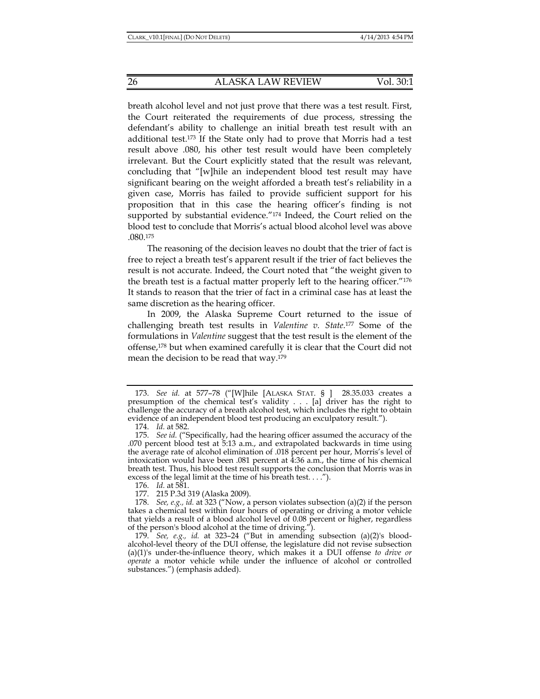breath alcohol level and not just prove that there was a test result. First, the Court reiterated the requirements of due process, stressing the defendant's ability to challenge an initial breath test result with an additional test.173 If the State only had to prove that Morris had a test result above .080, his other test result would have been completely irrelevant. But the Court explicitly stated that the result was relevant, concluding that "[w]hile an independent blood test result may have significant bearing on the weight afforded a breath test's reliability in a given case, Morris has failed to provide sufficient support for his proposition that in this case the hearing officer's finding is not supported by substantial evidence."<sup>174</sup> Indeed, the Court relied on the blood test to conclude that Morris's actual blood alcohol level was above .080.175

The reasoning of the decision leaves no doubt that the trier of fact is free to reject a breath test's apparent result if the trier of fact believes the result is not accurate. Indeed, the Court noted that "the weight given to the breath test is a factual matter properly left to the hearing officer."176 It stands to reason that the trier of fact in a criminal case has at least the same discretion as the hearing officer.

In 2009, the Alaska Supreme Court returned to the issue of challenging breath test results in *Valentine v. State*. 177 Some of the formulations in *Valentine* suggest that the test result is the element of the offense,178 but when examined carefully it is clear that the Court did not mean the decision to be read that way.179

 <sup>173.</sup> *See id.* at 577–78 ("[W]hile [ALASKA STAT. § ] 28.35.033 creates a presumption of the chemical test's validity . . . [a] driver has the right to challenge the accuracy of a breath alcohol test, which includes the right to obtain evidence of an independent blood test producing an exculpatory result.").

 <sup>174.</sup> *Id.* at 582.

 <sup>175.</sup> *See id.* ("Specifically, had the hearing officer assumed the accuracy of the .070 percent blood test at 5:13 a.m., and extrapolated backwards in time using the average rate of alcohol elimination of .018 percent per hour, Morris's level of intoxication would have been .081 percent at 4:36 a.m., the time of his chemical breath test. Thus, his blood test result supports the conclusion that Morris was in excess of the legal limit at the time of his breath test. . . .").

 <sup>176.</sup> *Id.* at 581.

 <sup>177. 215</sup> P.3d 319 (Alaska 2009).

 <sup>178.</sup> *See, e.g., id.* at 323 ("Now, a person violates subsection (a)(2) if the person takes a chemical test within four hours of operating or driving a motor vehicle that yields a result of a blood alcohol level of 0.08 percent or higher, regardless of the person's blood alcohol at the time of driving.").

 <sup>179.</sup> *See, e.g., id.* at 323–24 ("But in amending subsection (a)(2)'s bloodalcohol-level theory of the DUI offense, the legislature did not revise subsection (a)(1)'s under-the-influence theory, which makes it a DUI offense *to drive or operate* a motor vehicle while under the influence of alcohol or controlled substances.") (emphasis added).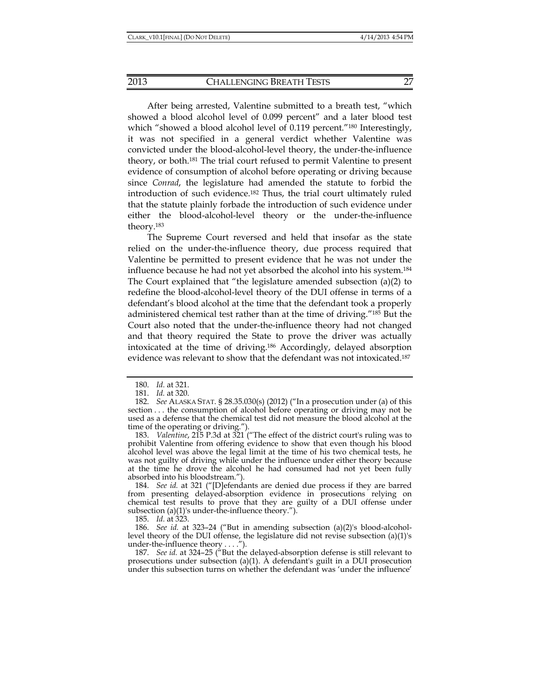After being arrested, Valentine submitted to a breath test, "which showed a blood alcohol level of 0.099 percent" and a later blood test which "showed a blood alcohol level of 0.119 percent."<sup>180</sup> Interestingly, it was not specified in a general verdict whether Valentine was convicted under the blood-alcohol-level theory, the under-the-influence theory, or both.181 The trial court refused to permit Valentine to present evidence of consumption of alcohol before operating or driving because since *Conrad*, the legislature had amended the statute to forbid the introduction of such evidence.182 Thus, the trial court ultimately ruled that the statute plainly forbade the introduction of such evidence under either the blood-alcohol-level theory or the under-the-influence theory.183

The Supreme Court reversed and held that insofar as the state relied on the under-the-influence theory, due process required that Valentine be permitted to present evidence that he was not under the influence because he had not yet absorbed the alcohol into his system.184 The Court explained that "the legislature amended subsection (a)(2) to redefine the blood-alcohol-level theory of the DUI offense in terms of a defendant's blood alcohol at the time that the defendant took a properly administered chemical test rather than at the time of driving."185 But the Court also noted that the under-the-influence theory had not changed and that theory required the State to prove the driver was actually intoxicated at the time of driving.186 Accordingly, delayed absorption evidence was relevant to show that the defendant was not intoxicated.187

 184. *See id.* at 321 ("[D]efendants are denied due process if they are barred from presenting delayed-absorption evidence in prosecutions relying on chemical test results to prove that they are guilty of a DUI offense under subsection (a)(1)'s under-the-influence theory.").

185. *Id.* at 323.

 186. *See id.* at 323–24 ("But in amending subsection (a)(2)'s blood-alcohollevel theory of the DUI offense, the legislature did not revise subsection (a)(1)'s under-the-influence theory . . . .").

 187. *See id.* at 324–25 ("But the delayed-absorption defense is still relevant to prosecutions under subsection (a)(1). A defendant's guilt in a DUI prosecution under this subsection turns on whether the defendant was 'under the influence'

 <sup>180.</sup> *Id.* at 321.

 <sup>181.</sup> *Id.* at 320.

 <sup>182.</sup> *See* ALASKA STAT. § 28.35.030(s) (2012) ("In a prosecution under (a) of this section . . . the consumption of alcohol before operating or driving may not be used as a defense that the chemical test did not measure the blood alcohol at the time of the operating or driving.").

 <sup>183.</sup> *Valentine*, 215 P.3d at 321 ("The effect of the district court's ruling was to prohibit Valentine from offering evidence to show that even though his blood alcohol level was above the legal limit at the time of his two chemical tests, he was not guilty of driving while under the influence under either theory because at the time he drove the alcohol he had consumed had not yet been fully absorbed into his bloodstream.").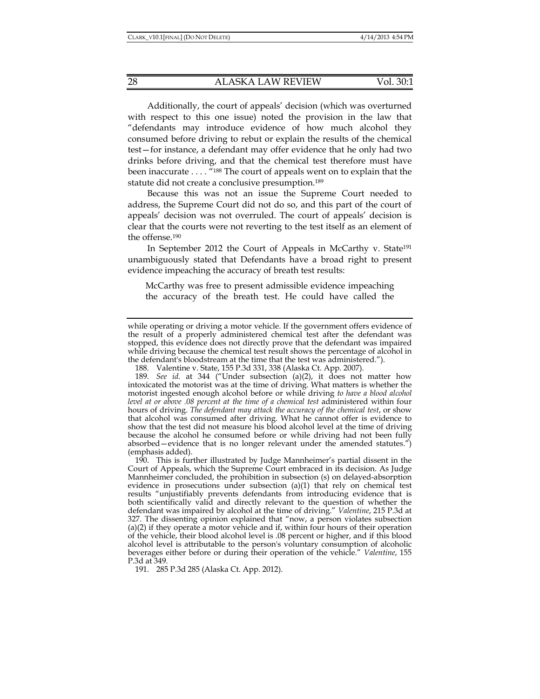Additionally, the court of appeals' decision (which was overturned with respect to this one issue) noted the provision in the law that "defendants may introduce evidence of how much alcohol they consumed before driving to rebut or explain the results of the chemical test—for instance, a defendant may offer evidence that he only had two drinks before driving, and that the chemical test therefore must have been inaccurate . . . . <sup>"188</sup> The court of appeals went on to explain that the statute did not create a conclusive presumption.<sup>189</sup>

Because this was not an issue the Supreme Court needed to address, the Supreme Court did not do so, and this part of the court of appeals' decision was not overruled. The court of appeals' decision is clear that the courts were not reverting to the test itself as an element of the offense.190

In September 2012 the Court of Appeals in McCarthy v. State<sup>191</sup> unambiguously stated that Defendants have a broad right to present evidence impeaching the accuracy of breath test results:

McCarthy was free to present admissible evidence impeaching the accuracy of the breath test. He could have called the

191. 285 P.3d 285 (Alaska Ct. App. 2012).

while operating or driving a motor vehicle. If the government offers evidence of the result of a properly administered chemical test after the defendant was stopped, this evidence does not directly prove that the defendant was impaired while driving because the chemical test result shows the percentage of alcohol in the defendant's bloodstream at the time that the test was administered.").

 <sup>188.</sup> Valentine v. State, 155 P.3d 331, 338 (Alaska Ct. App. 2007).

 <sup>189.</sup> *See id.* at 344 ("Under subsection (a)(2), it does not matter how intoxicated the motorist was at the time of driving. What matters is whether the motorist ingested enough alcohol before or while driving *to have a blood alcohol level at or above .08 percent at the time of a chemical test* administered within four hours of driving. *The defendant may attack the accuracy of the chemical test*, or show that alcohol was consumed after driving. What he cannot offer is evidence to show that the test did not measure his blood alcohol level at the time of driving because the alcohol he consumed before or while driving had not been fully absorbed—evidence that is no longer relevant under the amended statutes.") (emphasis added).

 <sup>190.</sup> This is further illustrated by Judge Mannheimer's partial dissent in the Court of Appeals, which the Supreme Court embraced in its decision. As Judge Mannheimer concluded, the prohibition in subsection (s) on delayed-absorption evidence in prosecutions under subsection (a)(1) that rely on chemical test results "unjustifiably prevents defendants from introducing evidence that is both scientifically valid and directly relevant to the question of whether the defendant was impaired by alcohol at the time of driving." *Valentine*, 215 P.3d at 327. The dissenting opinion explained that "now, a person violates subsection (a)(2) if they operate a motor vehicle and if, within four hours of their operation of the vehicle, their blood alcohol level is .08 percent or higher, and if this blood alcohol level is attributable to the person's voluntary consumption of alcoholic beverages either before or during their operation of the vehicle." *Valentine*, 155 P.3d at 349.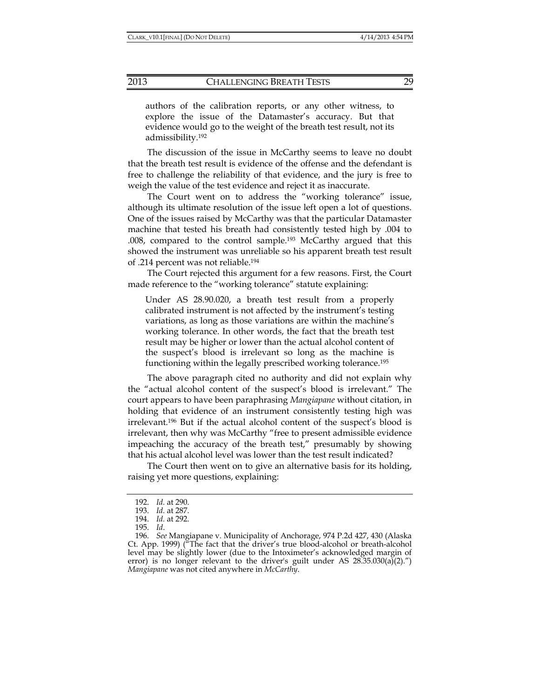authors of the calibration reports, or any other witness, to explore the issue of the Datamaster's accuracy. But that evidence would go to the weight of the breath test result, not its admissibility.192

The discussion of the issue in McCarthy seems to leave no doubt that the breath test result is evidence of the offense and the defendant is free to challenge the reliability of that evidence, and the jury is free to weigh the value of the test evidence and reject it as inaccurate.

The Court went on to address the "working tolerance" issue, although its ultimate resolution of the issue left open a lot of questions. One of the issues raised by McCarthy was that the particular Datamaster machine that tested his breath had consistently tested high by .004 to .008, compared to the control sample.193 McCarthy argued that this showed the instrument was unreliable so his apparent breath test result of .214 percent was not reliable.194

The Court rejected this argument for a few reasons. First, the Court made reference to the "working tolerance" statute explaining:

Under AS 28.90.020, a breath test result from a properly calibrated instrument is not affected by the instrument's testing variations, as long as those variations are within the machine's working tolerance. In other words, the fact that the breath test result may be higher or lower than the actual alcohol content of the suspect's blood is irrelevant so long as the machine is functioning within the legally prescribed working tolerance.195

The above paragraph cited no authority and did not explain why the "actual alcohol content of the suspect's blood is irrelevant." The court appears to have been paraphrasing *Mangiapane* without citation, in holding that evidence of an instrument consistently testing high was irrelevant.196 But if the actual alcohol content of the suspect's blood is irrelevant, then why was McCarthy "free to present admissible evidence impeaching the accuracy of the breath test," presumably by showing that his actual alcohol level was lower than the test result indicated?

The Court then went on to give an alternative basis for its holding, raising yet more questions, explaining:

 <sup>192.</sup> *Id.* at 290.

 <sup>193.</sup> *Id.* at 287.

 <sup>194.</sup> *Id.* at 292.

 <sup>195.</sup> *Id*.

 <sup>196.</sup> *See* Mangiapane v. Municipality of Anchorage, 974 P.2d 427, 430 (Alaska Ct. App. 1999) ("The fact that the driver's true blood-alcohol or breath-alcohol level may be slightly lower (due to the Intoximeter's acknowledged margin of error) is no longer relevant to the driver's guilt under AS  $28.35.030(a)(2)'$ *Mangiapane* was not cited anywhere in *McCarthy*.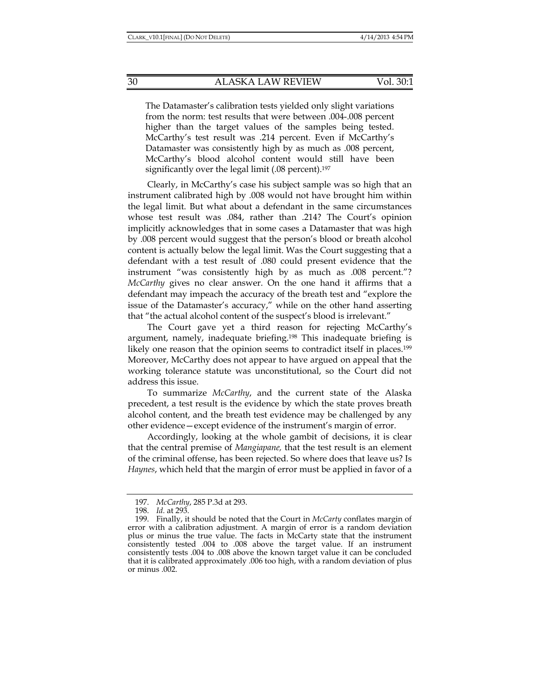The Datamaster's calibration tests yielded only slight variations from the norm: test results that were between .004-.008 percent higher than the target values of the samples being tested. McCarthy's test result was .214 percent. Even if McCarthy's Datamaster was consistently high by as much as .008 percent, McCarthy's blood alcohol content would still have been significantly over the legal limit (.08 percent).<sup>197</sup>

Clearly, in McCarthy's case his subject sample was so high that an instrument calibrated high by .008 would not have brought him within the legal limit. But what about a defendant in the same circumstances whose test result was .084, rather than .214? The Court's opinion implicitly acknowledges that in some cases a Datamaster that was high by .008 percent would suggest that the person's blood or breath alcohol content is actually below the legal limit. Was the Court suggesting that a defendant with a test result of .080 could present evidence that the instrument "was consistently high by as much as .008 percent."? *McCarthy* gives no clear answer. On the one hand it affirms that a defendant may impeach the accuracy of the breath test and "explore the issue of the Datamaster's accuracy," while on the other hand asserting that "the actual alcohol content of the suspect's blood is irrelevant."

The Court gave yet a third reason for rejecting McCarthy's argument, namely, inadequate briefing.198 This inadequate briefing is likely one reason that the opinion seems to contradict itself in places.<sup>199</sup> Moreover, McCarthy does not appear to have argued on appeal that the working tolerance statute was unconstitutional, so the Court did not address this issue.

To summarize *McCarthy*, and the current state of the Alaska precedent, a test result is the evidence by which the state proves breath alcohol content, and the breath test evidence may be challenged by any other evidence—except evidence of the instrument's margin of error.

Accordingly, looking at the whole gambit of decisions, it is clear that the central premise of *Mangiapane,* that the test result is an element of the criminal offense, has been rejected. So where does that leave us? Is *Haynes*, which held that the margin of error must be applied in favor of a

 <sup>197.</sup> *McCarthy*, 285 P.3d at 293.

 <sup>198.</sup> *Id.* at 293.

 <sup>199.</sup> Finally, it should be noted that the Court in *McCarty* conflates margin of error with a calibration adjustment. A margin of error is a random deviation plus or minus the true value. The facts in McCarty state that the instrument consistently tested .004 to .008 above the target value. If an instrument consistently tests .004 to .008 above the known target value it can be concluded that it is calibrated approximately .006 too high, with a random deviation of plus or minus .002.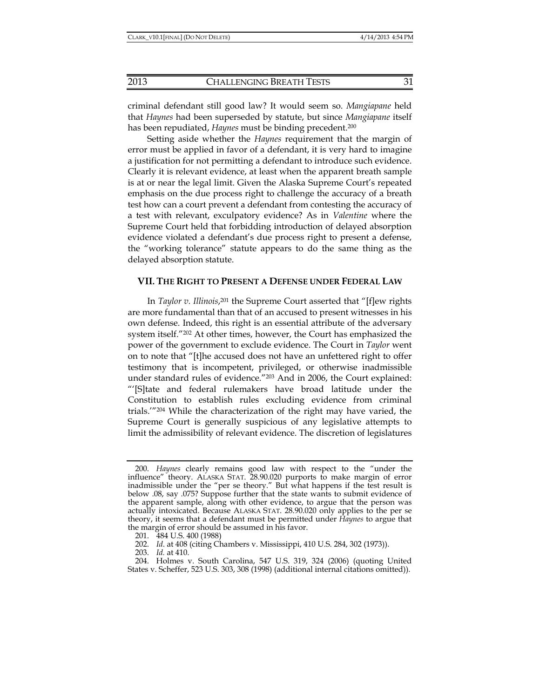criminal defendant still good law? It would seem so. *Mangiapane* held that *Haynes* had been superseded by statute, but since *Mangiapane* itself has been repudiated, *Haynes* must be binding precedent.200

Setting aside whether the *Haynes* requirement that the margin of error must be applied in favor of a defendant, it is very hard to imagine a justification for not permitting a defendant to introduce such evidence. Clearly it is relevant evidence, at least when the apparent breath sample is at or near the legal limit. Given the Alaska Supreme Court's repeated emphasis on the due process right to challenge the accuracy of a breath test how can a court prevent a defendant from contesting the accuracy of a test with relevant, exculpatory evidence? As in *Valentine* where the Supreme Court held that forbidding introduction of delayed absorption evidence violated a defendant's due process right to present a defense, the "working tolerance" statute appears to do the same thing as the delayed absorption statute.

## **VII. THE RIGHT TO PRESENT A DEFENSE UNDER FEDERAL LAW**

In *Taylor v. Illinois*, 201 the Supreme Court asserted that "[f]ew rights are more fundamental than that of an accused to present witnesses in his own defense. Indeed, this right is an essential attribute of the adversary system itself."202 At other times, however, the Court has emphasized the power of the government to exclude evidence. The Court in *Taylor* went on to note that "[t]he accused does not have an unfettered right to offer testimony that is incompetent, privileged, or otherwise inadmissible under standard rules of evidence."203 And in 2006, the Court explained: "'[S]tate and federal rulemakers have broad latitude under the Constitution to establish rules excluding evidence from criminal trials.'"204 While the characterization of the right may have varied, the Supreme Court is generally suspicious of any legislative attempts to limit the admissibility of relevant evidence. The discretion of legislatures

 <sup>200.</sup> *Haynes* clearly remains good law with respect to the "under the influence" theory. ALASKA STAT. 28.90.020 purports to make margin of error inadmissible under the "per se theory." But what happens if the test result is below .08, say .075? Suppose further that the state wants to submit evidence of the apparent sample, along with other evidence, to argue that the person was actually intoxicated. Because ALASKA STAT. 28.90.020 only applies to the per se theory, it seems that a defendant must be permitted under *Haynes* to argue that the margin of error should be assumed in his favor.

 <sup>201. 484</sup> U.S. 400 (1988)

 <sup>202.</sup> *Id*. at 408 (citing Chambers v. Mississippi, 410 U.S. 284, 302 (1973)).

 <sup>203.</sup> *Id.* at 410.

 <sup>204.</sup> Holmes v. South Carolina, 547 U.S. 319, 324 (2006) (quoting United States v. Scheffer, 523 U.S. 303, 308 (1998) (additional internal citations omitted)).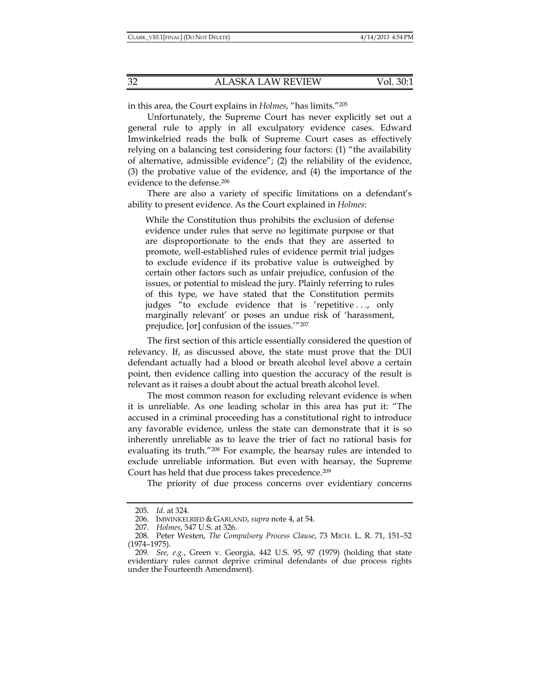in this area, the Court explains in *Holmes*, "has limits."205

Unfortunately, the Supreme Court has never explicitly set out a general rule to apply in all exculpatory evidence cases. Edward Imwinkelried reads the bulk of Supreme Court cases as effectively relying on a balancing test considering four factors: (1) "the availability of alternative, admissible evidence"; (2) the reliability of the evidence, (3) the probative value of the evidence, and (4) the importance of the evidence to the defense.206

There are also a variety of specific limitations on a defendant's ability to present evidence. As the Court explained in *Holmes*:

While the Constitution thus prohibits the exclusion of defense evidence under rules that serve no legitimate purpose or that are disproportionate to the ends that they are asserted to promote, well-established rules of evidence permit trial judges to exclude evidence if its probative value is outweighed by certain other factors such as unfair prejudice, confusion of the issues, or potential to mislead the jury. Plainly referring to rules of this type, we have stated that the Constitution permits judges "to exclude evidence that is 'repetitive ..., only marginally relevant' or poses an undue risk of 'harassment, prejudice, [or] confusion of the issues.'"207

The first section of this article essentially considered the question of relevancy. If, as discussed above, the state must prove that the DUI defendant actually had a blood or breath alcohol level above a certain point, then evidence calling into question the accuracy of the result is relevant as it raises a doubt about the actual breath alcohol level.

The most common reason for excluding relevant evidence is when it is unreliable. As one leading scholar in this area has put it: "The accused in a criminal proceeding has a constitutional right to introduce any favorable evidence, unless the state can demonstrate that it is so inherently unreliable as to leave the trier of fact no rational basis for evaluating its truth."208 For example, the hearsay rules are intended to exclude unreliable information. But even with hearsay, the Supreme Court has held that due process takes precedence.209

The priority of due process concerns over evidentiary concerns

 <sup>205.</sup> *Id*. at 324.

 <sup>206.</sup> IMWINKELRIED & GARLAND, *supra* note 4, at 54.

 <sup>207.</sup> *Holmes*, 547 U.S. at 326.

 <sup>208.</sup> Peter Westen, *The Compulsory Process Clause*, 73 MICH. L. R. 71, 151–52 (1974–1975).

 <sup>209.</sup> *See, e.g.*, Green v. Georgia, 442 U.S. 95, 97 (1979) (holding that state evidentiary rules cannot deprive criminal defendants of due process rights under the Fourteenth Amendment).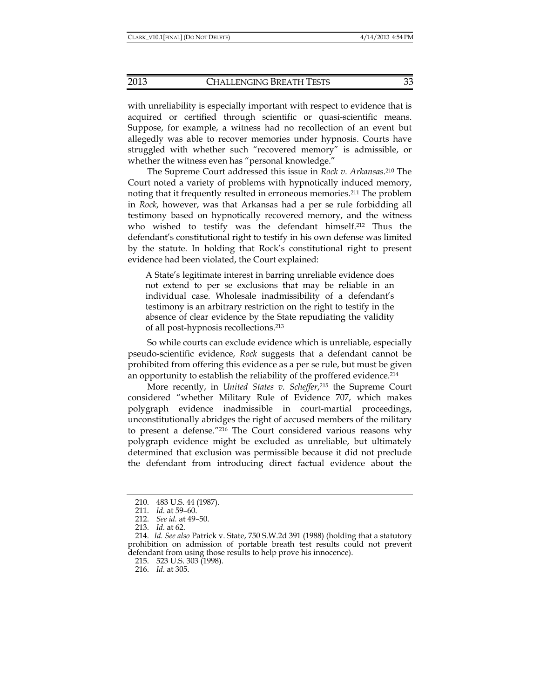with unreliability is especially important with respect to evidence that is acquired or certified through scientific or quasi-scientific means. Suppose, for example, a witness had no recollection of an event but allegedly was able to recover memories under hypnosis. Courts have struggled with whether such "recovered memory" is admissible, or whether the witness even has "personal knowledge."

The Supreme Court addressed this issue in *Rock v. Arkansas*. 210 The Court noted a variety of problems with hypnotically induced memory, noting that it frequently resulted in erroneous memories.211 The problem in *Rock*, however, was that Arkansas had a per se rule forbidding all testimony based on hypnotically recovered memory, and the witness who wished to testify was the defendant himself.212 Thus the defendant's constitutional right to testify in his own defense was limited by the statute. In holding that Rock's constitutional right to present evidence had been violated, the Court explained:

A State's legitimate interest in barring unreliable evidence does not extend to per se exclusions that may be reliable in an individual case. Wholesale inadmissibility of a defendant's testimony is an arbitrary restriction on the right to testify in the absence of clear evidence by the State repudiating the validity of all post-hypnosis recollections.213

So while courts can exclude evidence which is unreliable, especially pseudo-scientific evidence, *Rock* suggests that a defendant cannot be prohibited from offering this evidence as a per se rule, but must be given an opportunity to establish the reliability of the proffered evidence.<sup>214</sup>

More recently, in *United States v. Scheffer*, 215 the Supreme Court considered "whether Military Rule of Evidence 707, which makes polygraph evidence inadmissible in court-martial proceedings, unconstitutionally abridges the right of accused members of the military to present a defense."216 The Court considered various reasons why polygraph evidence might be excluded as unreliable, but ultimately determined that exclusion was permissible because it did not preclude the defendant from introducing direct factual evidence about the

215. 523 U.S. 303 (1998).

216. *Id.* at 305.

 <sup>210. 483</sup> U.S. 44 (1987).

 <sup>211.</sup> *Id.* at 59–60.

 <sup>212.</sup> *See id.* at 49–50.

 <sup>213.</sup> *Id.* at 62.

 <sup>214.</sup> *Id. See also* Patrick v. State, 750 S.W.2d 391 (1988) (holding that a statutory prohibition on admission of portable breath test results could not prevent defendant from using those results to help prove his innocence).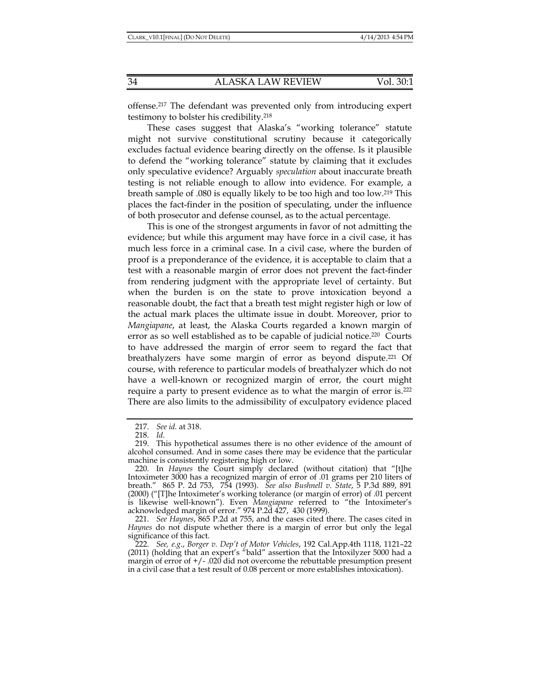offense.217 The defendant was prevented only from introducing expert testimony to bolster his credibility.218

These cases suggest that Alaska's "working tolerance" statute might not survive constitutional scrutiny because it categorically excludes factual evidence bearing directly on the offense. Is it plausible to defend the "working tolerance" statute by claiming that it excludes only speculative evidence? Arguably *speculation* about inaccurate breath testing is not reliable enough to allow into evidence. For example, a breath sample of .080 is equally likely to be too high and too low.219 This places the fact-finder in the position of speculating, under the influence of both prosecutor and defense counsel, as to the actual percentage.

This is one of the strongest arguments in favor of not admitting the evidence; but while this argument may have force in a civil case, it has much less force in a criminal case. In a civil case, where the burden of proof is a preponderance of the evidence, it is acceptable to claim that a test with a reasonable margin of error does not prevent the fact-finder from rendering judgment with the appropriate level of certainty. But when the burden is on the state to prove intoxication beyond a reasonable doubt, the fact that a breath test might register high or low of the actual mark places the ultimate issue in doubt. Moreover, prior to *Mangiapane*, at least, the Alaska Courts regarded a known margin of error as so well established as to be capable of judicial notice.<sup>220</sup> Courts to have addressed the margin of error seem to regard the fact that breathalyzers have some margin of error as beyond dispute.221 Of course, with reference to particular models of breathalyzer which do not have a well-known or recognized margin of error, the court might require a party to present evidence as to what the margin of error is.222 There are also limits to the admissibility of exculpatory evidence placed

 <sup>217.</sup> *See id.* at 318.

 <sup>218.</sup> *Id.*

 <sup>219.</sup> This hypothetical assumes there is no other evidence of the amount of alcohol consumed. And in some cases there may be evidence that the particular machine is consistently registering high or low.

 <sup>220.</sup> In *Haynes* the Court simply declared (without citation) that "[t]he Intoximeter 3000 has a recognized margin of error of .01 grams per 210 liters of breath." 865 P. 2d 753, 754 (1993). *See also Bushnell v. State*, 5 P.3d 889, 891 (2000) ("[T]he Intoximeter's working tolerance (or margin of error) of .01 percent is likewise well-known"). Even *Mangiapane* referred to "the Intoximeter's acknowledged margin of error." 974 P.2d 427, 430 (1999).

 <sup>221.</sup> *See Haynes*, 865 P.2d at 755, and the cases cited there. The cases cited in *Haynes* do not dispute whether there is a margin of error but only the legal significance of this fact.

 <sup>222.</sup> *See, e.g*., *Borger v. Dep't of Motor Vehicles*, 192 Cal.App.4th 1118, 1121–22 (2011) (holding that an expert's "bald" assertion that the Intoxilyzer 5000 had a margin of error of  $+/-$ .020 did not overcome the rebuttable presumption present in a civil case that a test result of 0.08 percent or more establishes intoxication).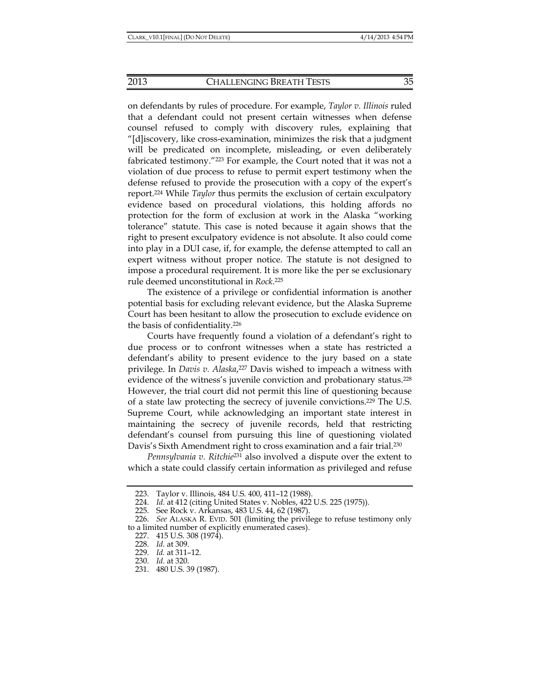on defendants by rules of procedure. For example, *Taylor v. Illinois* ruled that a defendant could not present certain witnesses when defense counsel refused to comply with discovery rules, explaining that "[d]iscovery, like cross-examination, minimizes the risk that a judgment will be predicated on incomplete, misleading, or even deliberately fabricated testimony."223 For example, the Court noted that it was not a violation of due process to refuse to permit expert testimony when the defense refused to provide the prosecution with a copy of the expert's report.224 While *Taylor* thus permits the exclusion of certain exculpatory evidence based on procedural violations, this holding affords no protection for the form of exclusion at work in the Alaska "working tolerance" statute. This case is noted because it again shows that the right to present exculpatory evidence is not absolute. It also could come into play in a DUI case, if, for example, the defense attempted to call an expert witness without proper notice. The statute is not designed to impose a procedural requirement. It is more like the per se exclusionary rule deemed unconstitutional in *Rock*. 225

The existence of a privilege or confidential information is another potential basis for excluding relevant evidence, but the Alaska Supreme Court has been hesitant to allow the prosecution to exclude evidence on the basis of confidentiality.226

Courts have frequently found a violation of a defendant's right to due process or to confront witnesses when a state has restricted a defendant's ability to present evidence to the jury based on a state privilege. In *Davis v. Alaska*,<sup>227</sup> Davis wished to impeach a witness with evidence of the witness's juvenile conviction and probationary status.<sup>228</sup> However, the trial court did not permit this line of questioning because of a state law protecting the secrecy of juvenile convictions.229 The U.S. Supreme Court, while acknowledging an important state interest in maintaining the secrecy of juvenile records, held that restricting defendant's counsel from pursuing this line of questioning violated Davis's Sixth Amendment right to cross examination and a fair trial.230

*Pennsylvania v. Ritchie*231 also involved a dispute over the extent to which a state could classify certain information as privileged and refuse

 <sup>223.</sup> Taylor v. Illinois, 484 U.S. 400, 411–12 (1988).

 <sup>224.</sup> *Id.* at 412 (citing United States v. Nobles, 422 U.S. 225 (1975)).

 <sup>225.</sup> See Rock v. Arkansas, 483 U.S. 44, 62 (1987).

 <sup>226.</sup> *See* ALASKA R. EVID. 501 (limiting the privilege to refuse testimony only to a limited number of explicitly enumerated cases).

 <sup>227. 415</sup> U.S. 308 (1974).

 <sup>228.</sup> *Id.* at 309.

 <sup>229.</sup> *Id.* at 311–12.

 <sup>230.</sup> *Id.* at 320.

 <sup>231. 480</sup> U.S. 39 (1987).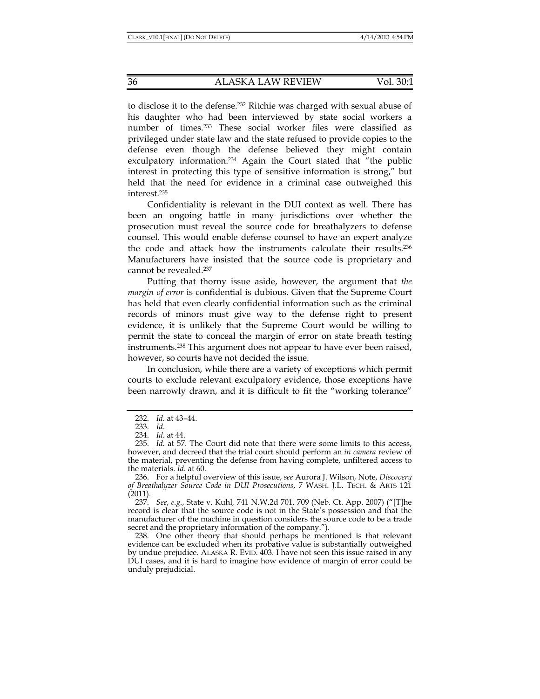to disclose it to the defense.232 Ritchie was charged with sexual abuse of his daughter who had been interviewed by state social workers a number of times.233 These social worker files were classified as privileged under state law and the state refused to provide copies to the defense even though the defense believed they might contain exculpatory information.<sup>234</sup> Again the Court stated that "the public interest in protecting this type of sensitive information is strong," but held that the need for evidence in a criminal case outweighed this interest.235

Confidentiality is relevant in the DUI context as well. There has been an ongoing battle in many jurisdictions over whether the prosecution must reveal the source code for breathalyzers to defense counsel. This would enable defense counsel to have an expert analyze the code and attack how the instruments calculate their results.236 Manufacturers have insisted that the source code is proprietary and cannot be revealed.237

Putting that thorny issue aside, however, the argument that *the margin of error* is confidential is dubious. Given that the Supreme Court has held that even clearly confidential information such as the criminal records of minors must give way to the defense right to present evidence, it is unlikely that the Supreme Court would be willing to permit the state to conceal the margin of error on state breath testing instruments.238 This argument does not appear to have ever been raised, however, so courts have not decided the issue.

In conclusion, while there are a variety of exceptions which permit courts to exclude relevant exculpatory evidence, those exceptions have been narrowly drawn, and it is difficult to fit the "working tolerance"

 237. *See*, *e.g.*, State v. Kuhl*,* 741 N.W.2d 701, 709 (Neb. Ct. App. 2007) ("[T]he record is clear that the source code is not in the State's possession and that the manufacturer of the machine in question considers the source code to be a trade secret and the proprietary information of the company.").

 238. One other theory that should perhaps be mentioned is that relevant evidence can be excluded when its probative value is substantially outweighed by undue prejudice. ALASKA R. EVID. 403. I have not seen this issue raised in any DUI cases, and it is hard to imagine how evidence of margin of error could be unduly prejudicial.

 <sup>232.</sup> *Id.* at 43–44.

 <sup>233.</sup> *Id.*

 <sup>234.</sup> *Id.* at 44.

 <sup>235.</sup> *Id.* at 57. The Court did note that there were some limits to this access, however, and decreed that the trial court should perform an *in camera* review of the material, preventing the defense from having complete, unfiltered access to the materials. *Id.* at 60.

 <sup>236.</sup> For a helpful overview of this issue, *see* Aurora J. Wilson, Note, *Discovery of Breathalyzer Source Code in DUI Prosecutions*, 7 WASH. J.L. TECH. & ARTS 121 (2011).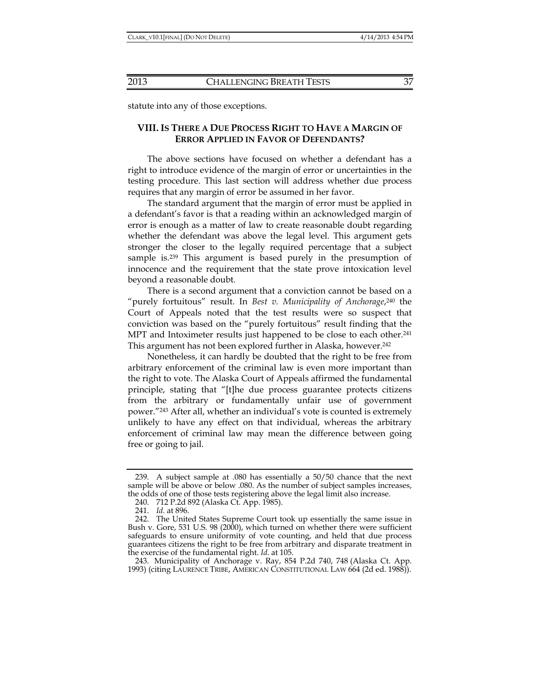statute into any of those exceptions.

## **VIII. IS THERE A DUE PROCESS RIGHT TO HAVE A MARGIN OF ERROR APPLIED IN FAVOR OF DEFENDANTS?**

The above sections have focused on whether a defendant has a right to introduce evidence of the margin of error or uncertainties in the testing procedure. This last section will address whether due process requires that any margin of error be assumed in her favor.

The standard argument that the margin of error must be applied in a defendant's favor is that a reading within an acknowledged margin of error is enough as a matter of law to create reasonable doubt regarding whether the defendant was above the legal level. This argument gets stronger the closer to the legally required percentage that a subject sample is.239 This argument is based purely in the presumption of innocence and the requirement that the state prove intoxication level beyond a reasonable doubt.

There is a second argument that a conviction cannot be based on a "purely fortuitous" result. In *Best v. Municipality of Anchorage*, 240 the Court of Appeals noted that the test results were so suspect that conviction was based on the "purely fortuitous" result finding that the MPT and Intoximeter results just happened to be close to each other.<sup>241</sup> This argument has not been explored further in Alaska, however.<sup>242</sup>

Nonetheless, it can hardly be doubted that the right to be free from arbitrary enforcement of the criminal law is even more important than the right to vote. The Alaska Court of Appeals affirmed the fundamental principle, stating that "[t]he due process guarantee protects citizens from the arbitrary or fundamentally unfair use of government power."243 After all, whether an individual's vote is counted is extremely unlikely to have any effect on that individual, whereas the arbitrary enforcement of criminal law may mean the difference between going free or going to jail.

 <sup>239.</sup> A subject sample at .080 has essentially a 50/50 chance that the next sample will be above or below .080. As the number of subject samples increases, the odds of one of those tests registering above the legal limit also increase.

 <sup>240. 712</sup> P.2d 892 (Alaska Ct. App. 1985).

 <sup>241.</sup> *Id.* at 896.

 <sup>242.</sup> The United States Supreme Court took up essentially the same issue in Bush v. Gore, 531 U.S. 98 (2000), which turned on whether there were sufficient safeguards to ensure uniformity of vote counting, and held that due process guarantees citizens the right to be free from arbitrary and disparate treatment in the exercise of the fundamental right. *Id*. at 105.

 <sup>243.</sup> Municipality of Anchorage v. Ray, 854 P.2d 740, 748 (Alaska Ct. App. 1993) (citing LAURENCE TRIBE, AMERICAN CONSTITUTIONAL LAW 664 (2d ed. 1988)).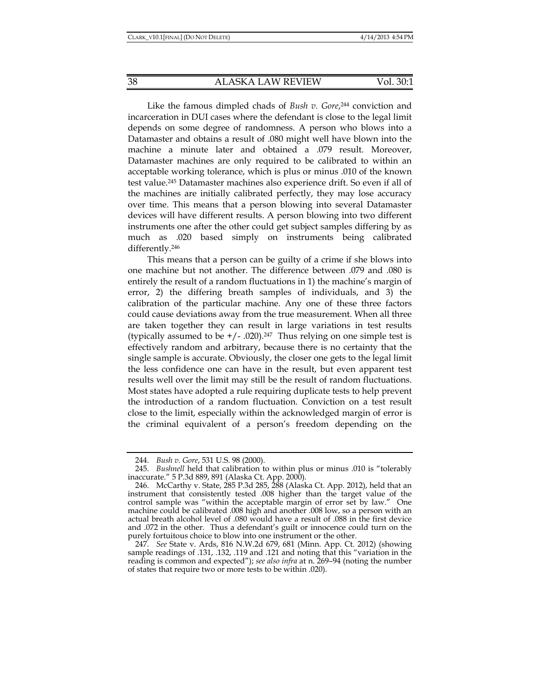Like the famous dimpled chads of *Bush v. Gore*, 244 conviction and incarceration in DUI cases where the defendant is close to the legal limit depends on some degree of randomness. A person who blows into a Datamaster and obtains a result of .080 might well have blown into the machine a minute later and obtained a .079 result. Moreover, Datamaster machines are only required to be calibrated to within an acceptable working tolerance, which is plus or minus .010 of the known test value.245 Datamaster machines also experience drift. So even if all of the machines are initially calibrated perfectly, they may lose accuracy over time. This means that a person blowing into several Datamaster devices will have different results. A person blowing into two different instruments one after the other could get subject samples differing by as much as .020 based simply on instruments being calibrated differently.246

This means that a person can be guilty of a crime if she blows into one machine but not another. The difference between .079 and .080 is entirely the result of a random fluctuations in 1) the machine's margin of error, 2) the differing breath samples of individuals, and 3) the calibration of the particular machine. Any one of these three factors could cause deviations away from the true measurement. When all three are taken together they can result in large variations in test results (typically assumed to be  $+/-$  .020).<sup>247</sup> Thus relying on one simple test is effectively random and arbitrary, because there is no certainty that the single sample is accurate. Obviously, the closer one gets to the legal limit the less confidence one can have in the result, but even apparent test results well over the limit may still be the result of random fluctuations. Most states have adopted a rule requiring duplicate tests to help prevent the introduction of a random fluctuation. Conviction on a test result close to the limit, especially within the acknowledged margin of error is the criminal equivalent of a person's freedom depending on the

 <sup>244.</sup> *Bush v. Gore*, 531 U.S. 98 (2000).

<sup>245.</sup> *Bushnell* held that calibration to within plus or minus .010 is "tolerably inaccurate." 5 P.3d 889, 891 (Alaska Ct. App. 2000).

 <sup>246.</sup> McCarthy v. State, 285 P.3d 285, 288 (Alaska Ct. App. 2012), held that an instrument that consistently tested .008 higher than the target value of the control sample was "within the acceptable margin of error set by law." One machine could be calibrated .008 high and another .008 low, so a person with an actual breath alcohol level of .080 would have a result of .088 in the first device and .072 in the other. Thus a defendant's guilt or innocence could turn on the purely fortuitous choice to blow into one instrument or the other.

 <sup>247.</sup> *See* State v. Ards, 816 N.W.2d 679, 681 (Minn. App. Ct. 2012) (showing sample readings of .131, .132, .119 and .121 and noting that this "variation in the reading is common and expected"); *see also infra* at n. 269–94 (noting the number of states that require two or more tests to be within .020).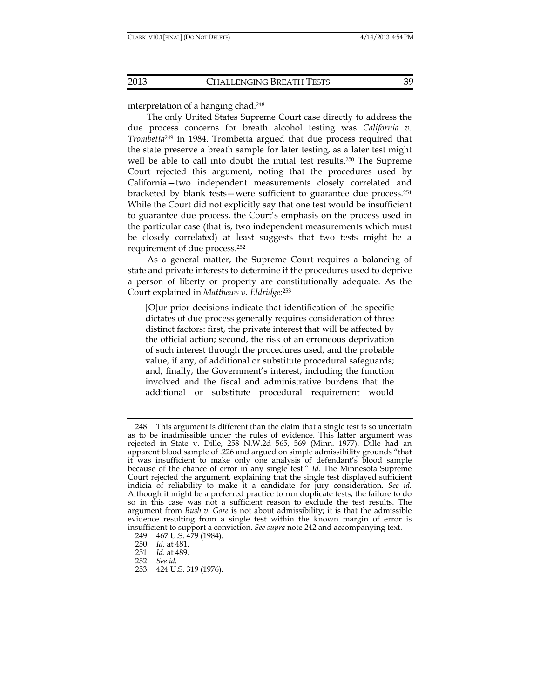interpretation of a hanging chad.248

The only United States Supreme Court case directly to address the due process concerns for breath alcohol testing was *California v. Trombetta*249 in 1984. Trombetta argued that due process required that the state preserve a breath sample for later testing, as a later test might well be able to call into doubt the initial test results.250 The Supreme Court rejected this argument, noting that the procedures used by California—two independent measurements closely correlated and bracketed by blank tests—were sufficient to guarantee due process.251 While the Court did not explicitly say that one test would be insufficient to guarantee due process, the Court's emphasis on the process used in the particular case (that is, two independent measurements which must be closely correlated) at least suggests that two tests might be a requirement of due process.252

As a general matter, the Supreme Court requires a balancing of state and private interests to determine if the procedures used to deprive a person of liberty or property are constitutionally adequate. As the Court explained in *Matthews v. Eldridge*: 253

[O]ur prior decisions indicate that identification of the specific dictates of due process generally requires consideration of three distinct factors: first, the private interest that will be affected by the official action; second, the risk of an erroneous deprivation of such interest through the procedures used, and the probable value, if any, of additional or substitute procedural safeguards; and, finally, the Government's interest, including the function involved and the fiscal and administrative burdens that the additional or substitute procedural requirement would

 <sup>248.</sup> This argument is different than the claim that a single test is so uncertain as to be inadmissible under the rules of evidence. This latter argument was rejected in State v. Dille, 258 N.W.2d 565, 569 (Minn. 1977). Dille had an apparent blood sample of .226 and argued on simple admissibility grounds "that it was insufficient to make only one analysis of defendant's blood sample because of the chance of error in any single test." *Id.* The Minnesota Supreme Court rejected the argument, explaining that the single test displayed sufficient indicia of reliability to make it a candidate for jury consideration. *See id.* Although it might be a preferred practice to run duplicate tests, the failure to do so in this case was not a sufficient reason to exclude the test results. The argument from *Bush v. Gore* is not about admissibility; it is that the admissible evidence resulting from a single test within the known margin of error is insufficient to support a conviction. *See supra* note 242 and accompanying text.

 <sup>249. 467</sup> U.S. 479 (1984).

 <sup>250.</sup> *Id.* at 481.

 <sup>251.</sup> *Id.* at 489.

 <sup>252.</sup> *See id.*

 <sup>253. 424</sup> U.S. 319 (1976).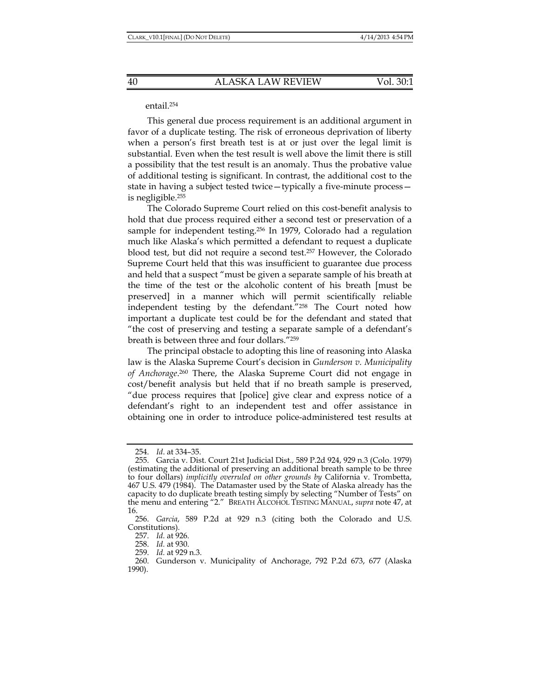#### entail.254

This general due process requirement is an additional argument in favor of a duplicate testing. The risk of erroneous deprivation of liberty when a person's first breath test is at or just over the legal limit is substantial. Even when the test result is well above the limit there is still a possibility that the test result is an anomaly. Thus the probative value of additional testing is significant. In contrast, the additional cost to the state in having a subject tested twice—typically a five-minute process is negligible.255

The Colorado Supreme Court relied on this cost-benefit analysis to hold that due process required either a second test or preservation of a sample for independent testing.256 In 1979, Colorado had a regulation much like Alaska's which permitted a defendant to request a duplicate blood test, but did not require a second test.257 However, the Colorado Supreme Court held that this was insufficient to guarantee due process and held that a suspect "must be given a separate sample of his breath at the time of the test or the alcoholic content of his breath [must be preserved] in a manner which will permit scientifically reliable independent testing by the defendant."258 The Court noted how important a duplicate test could be for the defendant and stated that "the cost of preserving and testing a separate sample of a defendant's breath is between three and four dollars."259

The principal obstacle to adopting this line of reasoning into Alaska law is the Alaska Supreme Court's decision in *Gunderson v. Municipality of Anchorage*. 260 There, the Alaska Supreme Court did not engage in cost/benefit analysis but held that if no breath sample is preserved, "due process requires that [police] give clear and express notice of a defendant's right to an independent test and offer assistance in obtaining one in order to introduce police-administered test results at

 <sup>254.</sup> *Id*. at 334–35.

 <sup>255.</sup> Garcia v. Dist. Court 21st Judicial Dist., 589 P.2d 924, 929 n.3 (Colo. 1979) (estimating the additional of preserving an additional breath sample to be three to four dollars) *implicitly overruled on other grounds by* California v. Trombetta, 467 U.S. 479 (1984). The Datamaster used by the State of Alaska already has the capacity to do duplicate breath testing simply by selecting "Number of Tests" on the menu and entering "2." BREATH ALCOHOL TESTING MANUAL, *supra* note 47, at 16.

 <sup>256.</sup> *Garcia*, 589 P.2d at 929 n.3 (citing both the Colorado and U.S. Constitutions)*.*

 <sup>257.</sup> *Id.* at 926.

 <sup>258.</sup> *Id.* at 930.

 <sup>259.</sup> *Id.* at 929 n.3.

 <sup>260.</sup> Gunderson v. Municipality of Anchorage, 792 P.2d 673, 677 (Alaska 1990).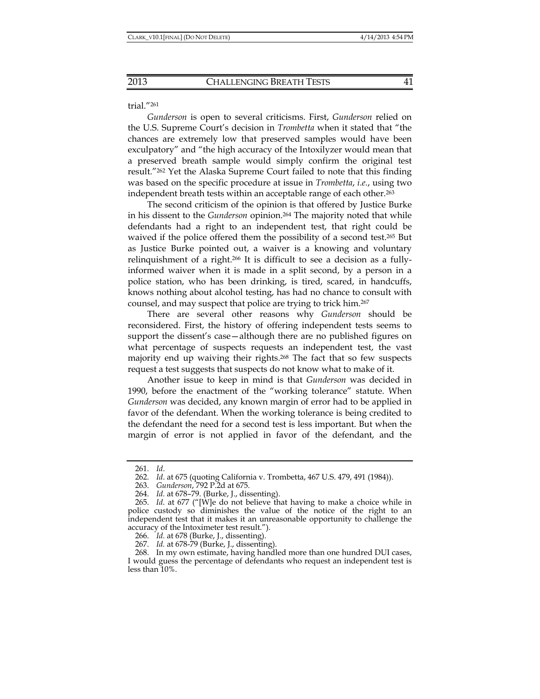#### trial."261

*Gunderson* is open to several criticisms. First, *Gunderson* relied on the U.S. Supreme Court's decision in *Trombetta* when it stated that "the chances are extremely low that preserved samples would have been exculpatory" and "the high accuracy of the Intoxilyzer would mean that a preserved breath sample would simply confirm the original test result."262 Yet the Alaska Supreme Court failed to note that this finding was based on the specific procedure at issue in *Trombetta*, *i.e.*, using two independent breath tests within an acceptable range of each other.263

The second criticism of the opinion is that offered by Justice Burke in his dissent to the *Gunderson* opinion.264 The majority noted that while defendants had a right to an independent test, that right could be waived if the police offered them the possibility of a second test.265 But as Justice Burke pointed out, a waiver is a knowing and voluntary relinquishment of a right.266 It is difficult to see a decision as a fullyinformed waiver when it is made in a split second, by a person in a police station, who has been drinking, is tired, scared, in handcuffs, knows nothing about alcohol testing, has had no chance to consult with counsel, and may suspect that police are trying to trick him.267

There are several other reasons why *Gunderson* should be reconsidered. First, the history of offering independent tests seems to support the dissent's case—although there are no published figures on what percentage of suspects requests an independent test, the vast majority end up waiving their rights.268 The fact that so few suspects request a test suggests that suspects do not know what to make of it.

Another issue to keep in mind is that *Gunderson* was decided in 1990, before the enactment of the "working tolerance" statute. When *Gunderson* was decided, any known margin of error had to be applied in favor of the defendant. When the working tolerance is being credited to the defendant the need for a second test is less important. But when the margin of error is not applied in favor of the defendant, and the

 <sup>261.</sup> *Id*.

 <sup>262.</sup> *Id*. at 675 (quoting California v. Trombetta, 467 U.S. 479, 491 (1984)).

 <sup>263.</sup> *Gunderson*, 792 P.2d at 675.

 <sup>264.</sup> *Id.* at 678–79. (Burke, J., dissenting).

 <sup>265.</sup> *Id*. at 677 ("[W]e do not believe that having to make a choice while in police custody so diminishes the value of the notice of the right to an independent test that it makes it an unreasonable opportunity to challenge the accuracy of the Intoximeter test result.").

 <sup>266.</sup> *Id.* at 678 (Burke, J., dissenting).

 <sup>267.</sup> *Id.* at 678-79 (Burke, J., dissenting).

 <sup>268.</sup> In my own estimate, having handled more than one hundred DUI cases, I would guess the percentage of defendants who request an independent test is less than 10%.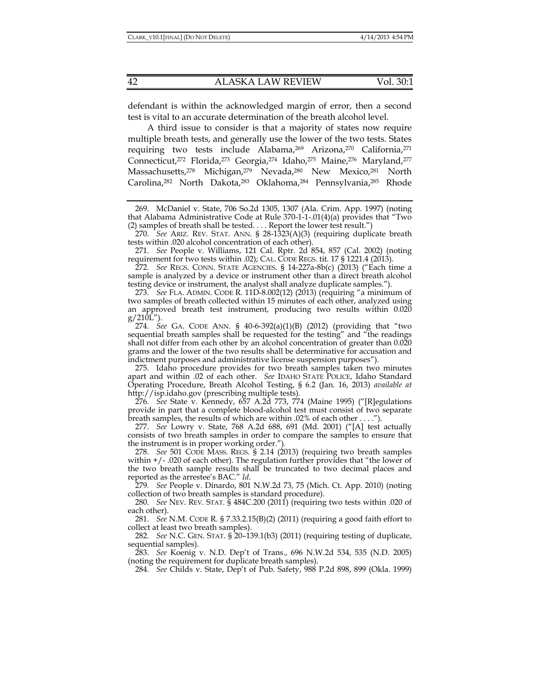defendant is within the acknowledged margin of error, then a second test is vital to an accurate determination of the breath alcohol level.

A third issue to consider is that a majority of states now require multiple breath tests, and generally use the lower of the two tests. States requiring two tests include Alabama,<sup>269</sup> Arizona,<sup>270</sup> California,<sup>271</sup> Connecticut,<sup>272</sup> Florida,<sup>273</sup> Georgia,<sup>274</sup> Idaho,<sup>275</sup> Maine,<sup>276</sup> Maryland,<sup>277</sup> Massachusetts,<sup>278</sup> Michigan,<sup>279</sup> Nevada,<sup>280</sup> New Mexico,<sup>281</sup> North Carolina,<sup>282</sup> North Dakota,<sup>283</sup> Oklahoma,<sup>284</sup> Pennsylvania,<sup>285</sup> Rhode

 269. McDaniel v. State, 706 So.2d 1305, 1307 (Ala. Crim. App. 1997) (noting that Alabama Administrative Code at Rule 370-1-1-.01(4)(a) provides that "Two (2) samples of breath shall be tested. . . . Report the lower test result.")

 270. *See* ARIZ. REV. STAT. ANN. § 28-1323(A)(3) (requiring duplicate breath tests within .020 alcohol concentration of each other).

 271. *See* People v. Williams, 121 Cal. Rptr. 2d 854, 857 (Cal. 2002) (noting requirement for two tests within .02); CAL. CODE REGS. tit.  $17 \frac{\overline{1} \cdot 1221.4}{\overline{2013}}$ .

 272. *See* REGS. CONN. STATE AGENCIES. § 14-227a-8b(c) (2013) ("Each time a sample is analyzed by a device or instrument other than a direct breath alcohol testing device or instrument, the analyst shall analyze duplicate samples.").

 273. *See* FLA. ADMIN. CODE R. 11D-8.002(12) (2013) (requiring "a minimum of two samples of breath collected within 15 minutes of each other, analyzed using an approved breath test instrument, producing two results within 0.020  $g/210L''$ ).

 274. *See* GA. CODE ANN. § 40-6-392(a)(1)(B) (2012) (providing that "two sequential breath samples shall be requested for the testing" and "the readings shall not differ from each other by an alcohol concentration of greater than 0.020 grams and the lower of the two results shall be determinative for accusation and indictment purposes and administrative license suspension purposes").

 275. Idaho procedure provides for two breath samples taken two minutes apart and within .02 of each other. *See* IDAHO STATE POLICE, Idaho Standard Operating Procedure, Breath Alcohol Testing, § 6.2 (Jan. 16, 2013) *available at* http://isp.idaho.gov (prescribing multiple tests).

 276. *See* State v. Kennedy, 657 A.2d 773, 774 (Maine 1995) ("[R]egulations provide in part that a complete blood-alcohol test must consist of two separate breath samples, the results of which are within .02% of each other . . . .").

 277. *See* Lowry v. State, 768 A.2d 688, 691 (Md. 2001) ("[A] test actually consists of two breath samples in order to compare the samples to ensure that the instrument is in proper working order.").

 278. *See* 501 CODE MASS. REGS. § 2.14 (2013) (requiring two breath samples within +/- .020 of each other). The regulation further provides that "the lower of the two breath sample results shall be truncated to two decimal places and reported as the arrestee's BAC." *Id*.

 279. *See* People v. Dinardo, 801 N.W.2d 73, 75 (Mich. Ct. App. 2010) (noting collection of two breath samples is standard procedure).

 280. *See* NEV. REV. STAT. § 484C.200 (2011) (requiring two tests within .020 of each other).

 281. *See* N.M. CODE R. § 7.33.2.15(B)(2) (2011) (requiring a good faith effort to collect at least two breath samples).

 282. *See* N.C. GEN. STAT. § 20–139.1(b3) (2011) (requiring testing of duplicate, sequential samples).

 283. *See* Koenig v. N.D. Dep't of Trans., 696 N.W.2d 534, 535 (N.D. 2005) (noting the requirement for duplicate breath samples).

284. *See* Childs v. State, Dep't of Pub. Safety, 988 P.2d 898, 899 (Okla. 1999)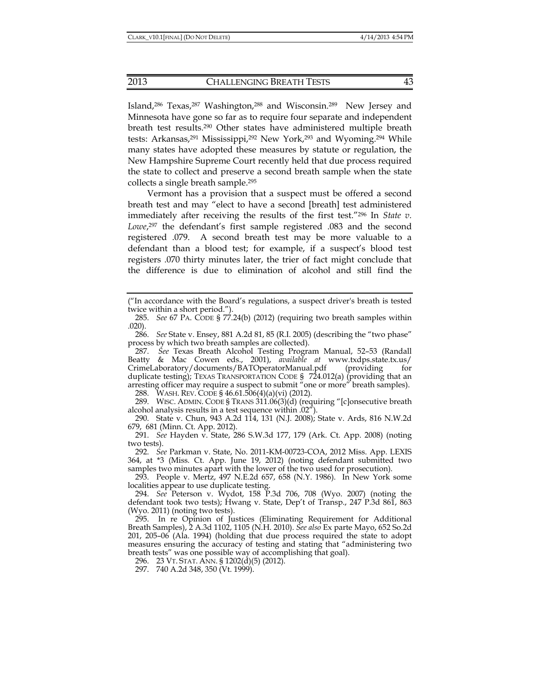Island,286 Texas,287 Washington,288 and Wisconsin.289 New Jersey and Minnesota have gone so far as to require four separate and independent breath test results.290 Other states have administered multiple breath tests: Arkansas,<sup>291</sup> Mississippi,<sup>292</sup> New York,<sup>293</sup> and Wyoming.<sup>294</sup> While many states have adopted these measures by statute or regulation, the New Hampshire Supreme Court recently held that due process required the state to collect and preserve a second breath sample when the state collects a single breath sample.295

Vermont has a provision that a suspect must be offered a second breath test and may "elect to have a second [breath] test administered immediately after receiving the results of the first test."296 In *State v. Lowe*, 297 the defendant's first sample registered .083 and the second registered .079. A second breath test may be more valuable to a defendant than a blood test; for example, if a suspect's blood test registers .070 thirty minutes later, the trier of fact might conclude that the difference is due to elimination of alcohol and still find the

 287. *See* Texas Breath Alcohol Testing Program Manual, 52–53 (Randall Beatty & Mac Cowen eds., 2001), *available at* www.txdps.state.tx.us/ CrimeLaboratory/documents/BATOperatorManual.pdf (providing for duplicate testing); TEXAS TRANSPORTATION CODE § 724.012(a) (providing that an arresting officer may require a suspect to submit "one or more" breath samples).

288. WASH. REV. CODE § 46.61.506(4)(a)(vi) (2012).

 289. WISC. ADMIN. CODE § TRANS 311.06(3)(d) (requiring "[c]onsecutive breath alcohol analysis results in a test sequence within .02").

 290. State v. Chun, 943 A.2d 114, 131 (N.J. 2008); State v. Ards, 816 N.W.2d 679, 681 (Minn. Ct. App. 2012).

 291. *See* Hayden v. State, 286 S.W.3d 177, 179 (Ark. Ct. App. 2008) (noting two tests).

 292. *See* Parkman v. State, No. 2011-KM-00723-COA, 2012 Miss. App. LEXIS 364, at \*3 (Miss. Ct. App. June 19, 2012) (noting defendant submitted two samples two minutes apart with the lower of the two used for prosecution).

 293. People v. Mertz, 497 N.E.2d 657, 658 (N.Y. 1986). In New York some localities appear to use duplicate testing.

 294. *See* Peterson v. Wydot, 158 P.3d 706, 708 (Wyo. 2007) (noting the defendant took two tests); Hwang v. State, Dep't of Transp., 247 P.3d 861, 863 (Wyo. 2011) (noting two tests).

 295. In re Opinion of Justices (Eliminating Requirement for Additional Breath Samples), 2 A.3d 1102, 1105 (N.H. 2010). *See also* Ex parte Mayo, 652 So.2d 201, 205–06 (Ala. 1994) (holding that due process required the state to adopt measures ensuring the accuracy of testing and stating that "administering two breath tests" was one possible way of accomplishing that goal).

296. 23 VT. STAT. ANN. § 1202(d)(5) (2012).

297. 740 A.2d 348, 350 (Vt. 1999).

<sup>(&</sup>quot;In accordance with the Board's regulations, a suspect driver's breath is tested twice within a short period.").

 <sup>285.</sup> *See* 67 PA. CODE § 77.24(b) (2012) (requiring two breath samples within .020).

 <sup>286.</sup> *See* State v. Ensey, 881 A.2d 81, 85 (R.I. 2005) (describing the "two phase" process by which two breath samples are collected).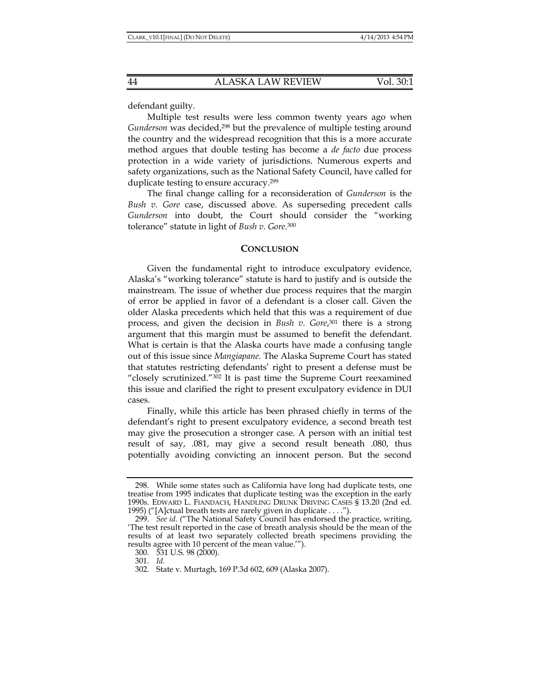defendant guilty.

Multiple test results were less common twenty years ago when *Gunderson* was decided,298 but the prevalence of multiple testing around the country and the widespread recognition that this is a more accurate method argues that double testing has become a *de facto* due process protection in a wide variety of jurisdictions. Numerous experts and safety organizations, such as the National Safety Council, have called for duplicate testing to ensure accuracy.299

The final change calling for a reconsideration of *Gunderson* is the *Bush v. Gore* case, discussed above. As superseding precedent calls *Gunderson* into doubt, the Court should consider the "working tolerance" statute in light of *Bush v. Gore*. 300

## **CONCLUSION**

Given the fundamental right to introduce exculpatory evidence, Alaska's "working tolerance" statute is hard to justify and is outside the mainstream. The issue of whether due process requires that the margin of error be applied in favor of a defendant is a closer call. Given the older Alaska precedents which held that this was a requirement of due process, and given the decision in *Bush v. Gore*, 301 there is a strong argument that this margin must be assumed to benefit the defendant. What is certain is that the Alaska courts have made a confusing tangle out of this issue since *Mangiapane.* The Alaska Supreme Court has stated that statutes restricting defendants' right to present a defense must be "closely scrutinized."302 It is past time the Supreme Court reexamined this issue and clarified the right to present exculpatory evidence in DUI cases.

Finally, while this article has been phrased chiefly in terms of the defendant's right to present exculpatory evidence, a second breath test may give the prosecution a stronger case. A person with an initial test result of say, .081, may give a second result beneath .080, thus potentially avoiding convicting an innocent person. But the second

 <sup>298.</sup> While some states such as California have long had duplicate tests, one treatise from 1995 indicates that duplicate testing was the exception in the early 1990s. EDWARD L. FIANDACH, HANDLING DRUNK DRIVING CASES § 13.20 (2nd ed. 1995) ("[A]ctual breath tests are rarely given in duplicate . . . .").

 <sup>299.</sup> *See id. (*"The National Safety Council has endorsed the practice, writing, 'The test result reported in the case of breath analysis should be the mean of the results of at least two separately collected breath specimens providing the results agree with 10 percent of the mean value.'").

 <sup>300. 531</sup> U.S. 98 (2000).

 <sup>301.</sup> *Id.*

 <sup>302.</sup> State v. Murtagh, 169 P.3d 602, 609 (Alaska 2007).